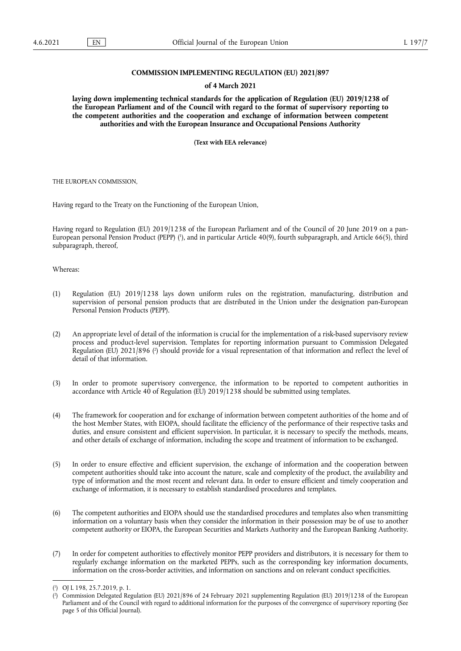# **COMMISSION IMPLEMENTING REGULATION (EU) 2021/897**

### **of 4 March 2021**

**laying down implementing technical standards for the application of Regulation (EU) 2019/1238 of the European Parliament and of the Council with regard to the format of supervisory reporting to the competent authorities and the cooperation and exchange of information between competent authorities and with the European Insurance and Occupational Pensions Authority** 

**(Text with EEA relevance)** 

THE EUROPEAN COMMISSION,

Having regard to the Treaty on the Functioning of the European Union,

<span id="page-0-2"></span>Having regard to Regulation (EU) 2019/1238 of the European Parliament and of the Council of 20 June 2019 on a pan-European personal Pension Product [\(](#page-0-0)PEPP) ('), and in particular Article 40(9), fourth subparagraph, and Article 66(5), third subparagraph, thereof,

Whereas:

- (1) Regulation (EU) 2019/1238 lays down uniform rules on the registration, manufacturing, distribution and supervision of personal pension products that are distributed in the Union under the designation pan-European Personal Pension Products (PEPP).
- <span id="page-0-3"></span>(2) An appropriate level of detail of the information is crucial for the implementation of a risk-based supervisory review process and product-level supervision. Templates for reporting information pursuant to Commission Delegated Regulation [\(](#page-0-1)EU) 2021/896 (?) should provide for a visual representation of that information and reflect the level of detail of that information.
- (3) In order to promote supervisory convergence, the information to be reported to competent authorities in accordance with Article 40 of Regulation (EU) 2019/1238 should be submitted using templates.
- (4) The framework for cooperation and for exchange of information between competent authorities of the home and of the host Member States, with EIOPA, should facilitate the efficiency of the performance of their respective tasks and duties, and ensure consistent and efficient supervision. In particular, it is necessary to specify the methods, means, and other details of exchange of information, including the scope and treatment of information to be exchanged.
- (5) In order to ensure effective and efficient supervision, the exchange of information and the cooperation between competent authorities should take into account the nature, scale and complexity of the product, the availability and type of information and the most recent and relevant data. In order to ensure efficient and timely cooperation and exchange of information, it is necessary to establish standardised procedures and templates.
- (6) The competent authorities and EIOPA should use the standardised procedures and templates also when transmitting information on a voluntary basis when they consider the information in their possession may be of use to another competent authority or EIOPA, the European Securities and Markets Authority and the European Banking Authority.
- (7) In order for competent authorities to effectively monitor PEPP providers and distributors, it is necessary for them to regularly exchange information on the marketed PEPPs, such as the corresponding key information documents, information on the cross-border activities, and information on sanctions and on relevant conduct specificities.

<span id="page-0-0"></span>[<sup>\(</sup>](#page-0-2) 1 ) OJ L 198, 25.7.2019, p. 1.

<span id="page-0-1"></span>[<sup>\(</sup>](#page-0-3) 2 ) Commission Delegated Regulation (EU) 2021/896 of 24 February 2021 supplementing Regulation (EU) 2019/1238 of the European Parliament and of the Council with regard to additional information for the purposes of the convergence of supervisory reporting (See page 5 of this Official Journal).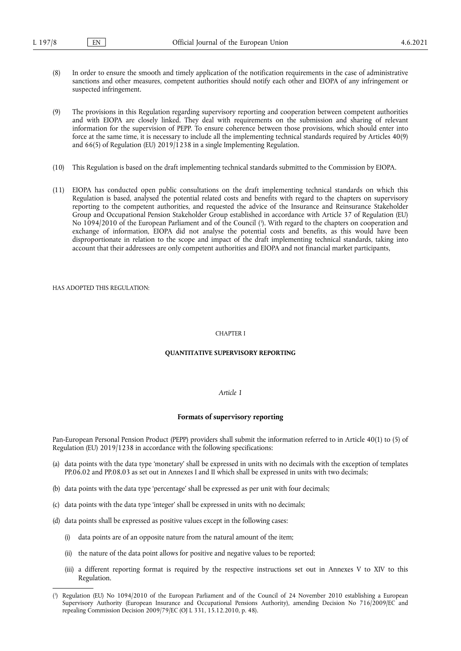- (8) In order to ensure the smooth and timely application of the notification requirements in the case of administrative sanctions and other measures, competent authorities should notify each other and EIOPA of any infringement or suspected infringement.
- (9) The provisions in this Regulation regarding supervisory reporting and cooperation between competent authorities and with EIOPA are closely linked. They deal with requirements on the submission and sharing of relevant information for the supervision of PEPP. To ensure coherence between those provisions, which should enter into force at the same time, it is necessary to include all the implementing technical standards required by Articles 40(9) and 66(5) of Regulation (EU) 2019/1238 in a single Implementing Regulation.
- (10) This Regulation is based on the draft implementing technical standards submitted to the Commission by EIOPA.
- <span id="page-1-1"></span>(11) EIOPA has conducted open public consultations on the draft implementing technical standards on which this Regulation is based, analysed the potential related costs and benefits with regard to the chapters on supervisory reporting to the competent authorities, and requested the advice of the Insurance and Reinsurance Stakeholder Group and Occupational Pension Stakeholder Group established in accordance with Article 37 of Regulation (EU) No 1094/2010 of the European Parliament and of the Council [\(](#page-1-0) 3 ). With regard to the chapters on cooperation and exchange of information, EIOPA did not analyse the potential costs and benefits, as this would have been disproportionate in relation to the scope and impact of the draft implementing technical standards, taking into account that their addressees are only competent authorities and EIOPA and not financial market participants,

HAS ADOPTED THIS REGULATION.

### CHAPTER I

### **QUANTITATIVE SUPERVISORY REPORTING**

# *Article 1*

# **Formats of supervisory reporting**

Pan-European Personal Pension Product (PEPP) providers shall submit the information referred to in Article 40(1) to (5) of Regulation (EU) 2019/1238 in accordance with the following specifications:

- (a) data points with the data type 'monetary' shall be expressed in units with no decimals with the exception of templates PP.06.02 and PP.08.03 as set out in Annexes I and II which shall be expressed in units with two decimals;
- (b) data points with the data type 'percentage' shall be expressed as per unit with four decimals;
- (c) data points with the data type 'integer' shall be expressed in units with no decimals;
- (d) data points shall be expressed as positive values except in the following cases:
	- (i) data points are of an opposite nature from the natural amount of the item;
	- (ii) the nature of the data point allows for positive and negative values to be reported;
	- (iii) a different reporting format is required by the respective instructions set out in Annexes V to XIV to this Regulation.

<span id="page-1-0"></span>[<sup>\(</sup>](#page-1-1) 3 ) Regulation (EU) No 1094/2010 of the European Parliament and of the Council of 24 November 2010 establishing a European Supervisory Authority (European Insurance and Occupational Pensions Authority), amending Decision No 716/2009/EC and repealing Commission Decision 2009/79/EC (OJ L 331, 15.12.2010, p. 48).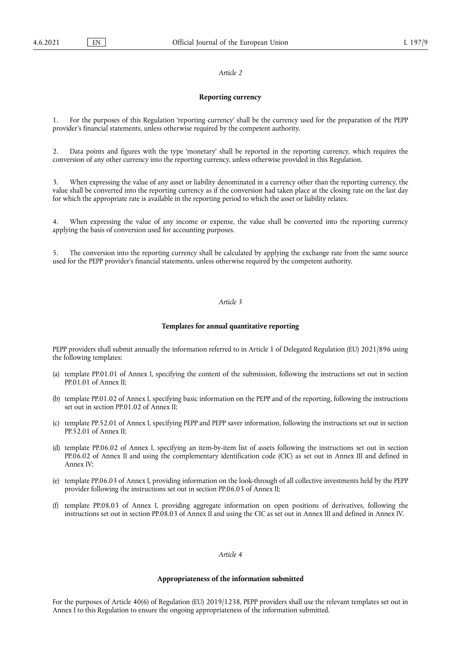### *Article 2*

### **Reporting currency**

1. For the purposes of this Regulation 'reporting currency' shall be the currency used for the preparation of the PEPP provider's financial statements, unless otherwise required by the competent authority.

2. Data points and figures with the type 'monetary' shall be reported in the reporting currency, which requires the conversion of any other currency into the reporting currency, unless otherwise provided in this Regulation.

3. When expressing the value of any asset or liability denominated in a currency other than the reporting currency, the value shall be converted into the reporting currency as if the conversion had taken place at the closing rate on the last day for which the appropriate rate is available in the reporting period to which the asset or liability relates.

4. When expressing the value of any income or expense, the value shall be converted into the reporting currency applying the basis of conversion used for accounting purposes.

5. The conversion into the reporting currency shall be calculated by applying the exchange rate from the same source used for the PEPP provider's financial statements, unless otherwise required by the competent authority.

# *Article 3*

### **Templates for annual quantitative reporting**

PEPP providers shall submit annually the information referred to in Article 1 of Delegated Regulation (EU) 2021/896 using the following templates:

- (a) template PP.01.01 of Annex I, specifying the content of the submission, following the instructions set out in section PP.01.01 of Annex II;
- (b) template PP.01.02 of Annex I, specifying basic information on the PEPP and of the reporting, following the instructions set out in section PP.01.02 of Annex II;
- (c) template PP.52.01 of Annex I, specifying PEPP and PEPP saver information, following the instructions set out in section PP.52.01 of Annex II;
- (d) template PP.06.02 of Annex I, specifying an item-by-item list of assets following the instructions set out in section PP.06.02 of Annex II and using the complementary identification code (CIC) as set out in Annex III and defined in Annex IV;
- (e) template PP.06.03 of Annex I, providing information on the look-through of all collective investments held by the PEPP provider following the instructions set out in section PP.06.03 of Annex II;
- (f) template PP.08.03 of Annex I, providing aggregate information on open positions of derivatives, following the instructions set out in section PP.08.03 of Annex II and using the CIC as set out in Annex III and defined in Annex IV.

# *Article 4*

### **Appropriateness of the information submitted**

For the purposes of Article 40(6) of Regulation (EU) 2019/1238, PEPP providers shall use the relevant templates set out in Annex I to this Regulation to ensure the ongoing appropriateness of the information submitted.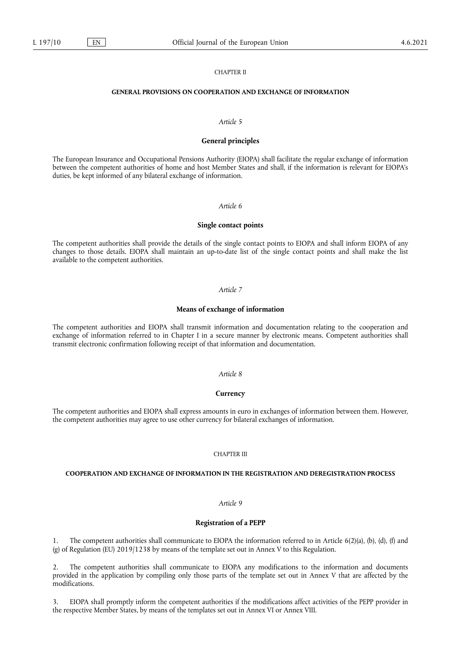### CHAPTER II

### **GENERAL PROVISIONS ON COOPERATION AND EXCHANGE OF INFORMATION**

### *Article 5*

### **General principles**

The European Insurance and Occupational Pensions Authority (EIOPA) shall facilitate the regular exchange of information between the competent authorities of home and host Member States and shall, if the information is relevant for EIOPA's duties, be kept informed of any bilateral exchange of information.

### *Article 6*

# **Single contact points**

The competent authorities shall provide the details of the single contact points to EIOPA and shall inform EIOPA of any changes to those details. EIOPA shall maintain an up-to-date list of the single contact points and shall make the list available to the competent authorities.

### *Article 7*

### **Means of exchange of information**

The competent authorities and EIOPA shall transmit information and documentation relating to the cooperation and exchange of information referred to in Chapter I in a secure manner by electronic means. Competent authorities shall transmit electronic confirmation following receipt of that information and documentation.

### *Article 8*

### **Currency**

The competent authorities and EIOPA shall express amounts in euro in exchanges of information between them. However, the competent authorities may agree to use other currency for bilateral exchanges of information.

### CHAPTER III

### **COOPERATION AND EXCHANGE OF INFORMATION IN THE REGISTRATION AND DEREGISTRATION PROCESS**

# *Article 9*

### **Registration of a PEPP**

1. The competent authorities shall communicate to EIOPA the information referred to in Article 6(2)(a), (b), (d), (f) and (g) of Regulation (EU) 2019/1238 by means of the template set out in Annex V to this Regulation.

2. The competent authorities shall communicate to EIOPA any modifications to the information and documents provided in the application by compiling only those parts of the template set out in Annex V that are affected by the modifications.

3. EIOPA shall promptly inform the competent authorities if the modifications affect activities of the PEPP provider in the respective Member States, by means of the templates set out in Annex VI or Annex VIII.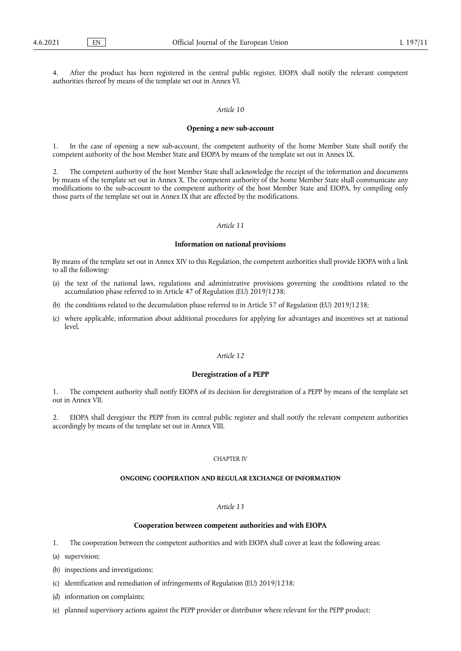After the product has been registered in the central public register, EIOPA shall notify the relevant competent authorities thereof by means of the template set out in Annex VI.

# *Article 10*

# **Opening a new sub-account**

1. In the case of opening a new sub-account, the competent authority of the home Member State shall notify the competent authority of the host Member State and EIOPA by means of the template set out in Annex IX.

2. The competent authority of the host Member State shall acknowledge the receipt of the information and documents by means of the template set out in Annex X. The competent authority of the home Member State shall communicate any modifications to the sub-account to the competent authority of the host Member State and EIOPA, by compiling only those parts of the template set out in Annex IX that are affected by the modifications.

# *Article 11*

### **Information on national provisions**

By means of the template set out in Annex XIV to this Regulation, the competent authorities shall provide EIOPA with a link to all the following:

- (a) the text of the national laws, regulations and administrative provisions governing the conditions related to the accumulation phase referred to in Article 47 of Regulation (EU) 2019/1238;
- (b) the conditions related to the decumulation phase referred to in Article 57 of Regulation (EU) 2019/1238;
- (c) where applicable, information about additional procedures for applying for advantages and incentives set at national level.

### *Article 12*

### **Deregistration of a PEPP**

1. The competent authority shall notify EIOPA of its decision for deregistration of a PEPP by means of the template set out in Annex VII.

2. EIOPA shall deregister the PEPP from its central public register and shall notify the relevant competent authorities accordingly by means of the template set out in Annex VIII.

# CHAPTER IV

# **ONGOING COOPERATION AND REGULAR EXCHANGE OF INFORMATION**

### *Article 13*

### **Cooperation between competent authorities and with EIOPA**

1. The cooperation between the competent authorities and with EIOPA shall cover at least the following areas:

- (a) supervision;
- (b) inspections and investigations;
- (c) identification and remediation of infringements of Regulation (EU) 2019/1238;
- (d) information on complaints;
- (e) planned supervisory actions against the PEPP provider or distributor where relevant for the PEPP product;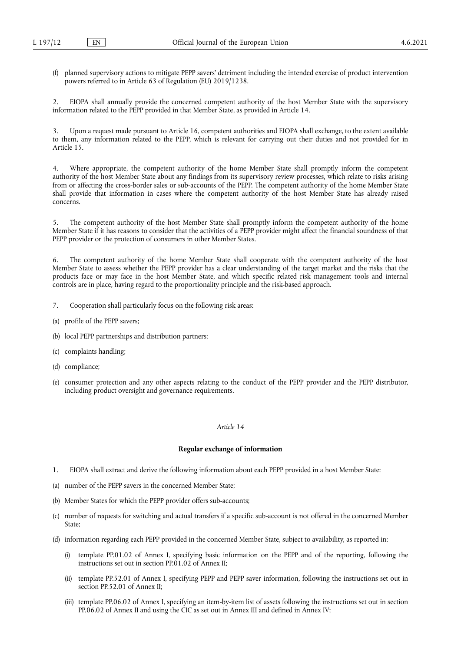(f) planned supervisory actions to mitigate PEPP savers' detriment including the intended exercise of product intervention powers referred to in Article 63 of Regulation (EU) 2019/1238.

2. EIOPA shall annually provide the concerned competent authority of the host Member State with the supervisory information related to the PEPP provided in that Member State, as provided in Article 14.

3. Upon a request made pursuant to Article 16, competent authorities and EIOPA shall exchange, to the extent available to them, any information related to the PEPP, which is relevant for carrying out their duties and not provided for in Article 15.

4. Where appropriate, the competent authority of the home Member State shall promptly inform the competent authority of the host Member State about any findings from its supervisory review processes, which relate to risks arising from or affecting the cross-border sales or sub-accounts of the PEPP. The competent authority of the home Member State shall provide that information in cases where the competent authority of the host Member State has already raised concerns.

5. The competent authority of the host Member State shall promptly inform the competent authority of the home Member State if it has reasons to consider that the activities of a PEPP provider might affect the financial soundness of that PEPP provider or the protection of consumers in other Member States.

6. The competent authority of the home Member State shall cooperate with the competent authority of the host Member State to assess whether the PEPP provider has a clear understanding of the target market and the risks that the products face or may face in the host Member State, and which specific related risk management tools and internal controls are in place, having regard to the proportionality principle and the risk-based approach.

- 7. Cooperation shall particularly focus on the following risk areas:
- (a) profile of the PEPP savers;
- (b) local PEPP partnerships and distribution partners;
- (c) complaints handling;
- (d) compliance;
- (e) consumer protection and any other aspects relating to the conduct of the PEPP provider and the PEPP distributor, including product oversight and governance requirements.

# *Article 14*

# **Regular exchange of information**

- 1. EIOPA shall extract and derive the following information about each PEPP provided in a host Member State:
- (a) number of the PEPP savers in the concerned Member State;
- (b) Member States for which the PEPP provider offers sub-accounts;
- (c) number of requests for switching and actual transfers if a specific sub-account is not offered in the concerned Member State;
- (d) information regarding each PEPP provided in the concerned Member State, subject to availability, as reported in:
	- (i) template PP.01.02 of Annex I, specifying basic information on the PEPP and of the reporting, following the instructions set out in section PP.01.02 of Annex II;
	- (ii) template PP.52.01 of Annex I, specifying PEPP and PEPP saver information, following the instructions set out in section PP.52.01 of Annex II;
	- (iii) template PP.06.02 of Annex I, specifying an item-by-item list of assets following the instructions set out in section PP.06.02 of Annex II and using the CIC as set out in Annex III and defined in Annex IV;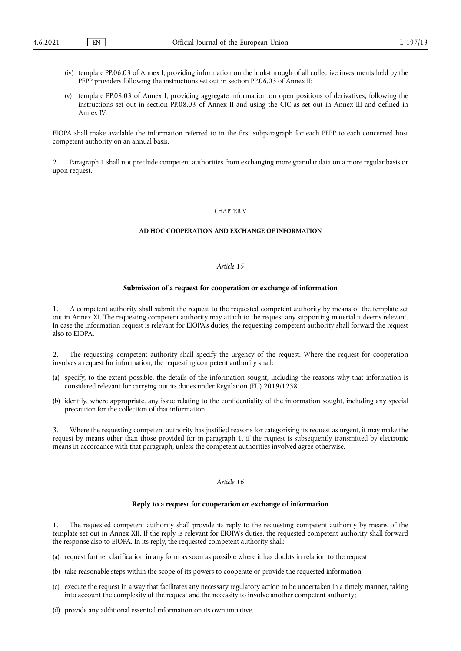- (iv) template PP.06.03 of Annex I, providing information on the look-through of all collective investments held by the PEPP providers following the instructions set out in section PP.06.03 of Annex II;
- (v) template PP.08.03 of Annex I, providing aggregate information on open positions of derivatives, following the instructions set out in section PP.08.03 of Annex II and using the CIC as set out in Annex III and defined in Annex IV.

EIOPA shall make available the information referred to in the first subparagraph for each PEPP to each concerned host competent authority on an annual basis.

2. Paragraph 1 shall not preclude competent authorities from exchanging more granular data on a more regular basis or upon request.

### CHAPTER V

# **AD HOC COOPERATION AND EXCHANGE OF INFORMATION**

# *Article 15*

### **Submission of a request for cooperation or exchange of information**

1. A competent authority shall submit the request to the requested competent authority by means of the template set out in Annex XI. The requesting competent authority may attach to the request any supporting material it deems relevant. In case the information request is relevant for EIOPA's duties, the requesting competent authority shall forward the request also to EIOPA.

2. The requesting competent authority shall specify the urgency of the request. Where the request for cooperation involves a request for information, the requesting competent authority shall:

- (a) specify, to the extent possible, the details of the information sought, including the reasons why that information is considered relevant for carrying out its duties under Regulation (EU) 2019/1238;
- (b) identify, where appropriate, any issue relating to the confidentiality of the information sought, including any special precaution for the collection of that information.

3. Where the requesting competent authority has justified reasons for categorising its request as urgent, it may make the request by means other than those provided for in paragraph 1, if the request is subsequently transmitted by electronic means in accordance with that paragraph, unless the competent authorities involved agree otherwise.

# *Article 16*

# **Reply to a request for cooperation or exchange of information**

1. The requested competent authority shall provide its reply to the requesting competent authority by means of the template set out in Annex XII. If the reply is relevant for EIOPA's duties, the requested competent authority shall forward the response also to EIOPA. In its reply, the requested competent authority shall:

- (a) request further clarification in any form as soon as possible where it has doubts in relation to the request;
- (b) take reasonable steps within the scope of its powers to cooperate or provide the requested information;
- (c) execute the request in a way that facilitates any necessary regulatory action to be undertaken in a timely manner, taking into account the complexity of the request and the necessity to involve another competent authority;
- (d) provide any additional essential information on its own initiative.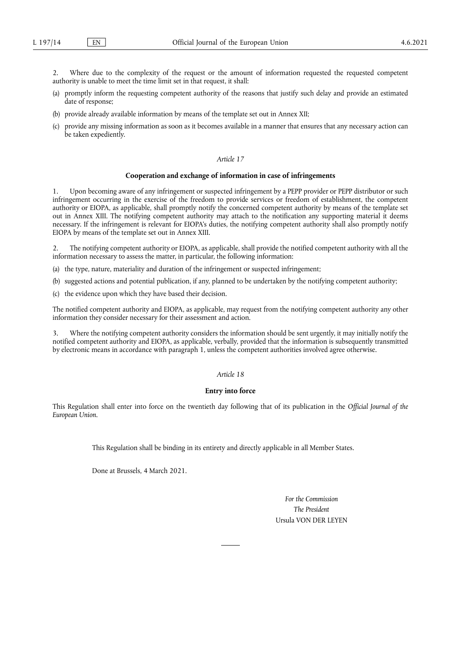2. Where due to the complexity of the request or the amount of information requested the requested competent authority is unable to meet the time limit set in that request, it shall:

- (a) promptly inform the requesting competent authority of the reasons that justify such delay and provide an estimated date of response;
- (b) provide already available information by means of the template set out in Annex XII;
- (c) provide any missing information as soon as it becomes available in a manner that ensures that any necessary action can be taken expediently.

# *Article 17*

# **Cooperation and exchange of information in case of infringements**

1. Upon becoming aware of any infringement or suspected infringement by a PEPP provider or PEPP distributor or such infringement occurring in the exercise of the freedom to provide services or freedom of establishment, the competent authority or EIOPA, as applicable, shall promptly notify the concerned competent authority by means of the template set out in Annex XIII. The notifying competent authority may attach to the notification any supporting material it deems necessary. If the infringement is relevant for EIOPA's duties, the notifying competent authority shall also promptly notify EIOPA by means of the template set out in Annex XIII.

2. The notifying competent authority or EIOPA, as applicable, shall provide the notified competent authority with all the information necessary to assess the matter, in particular, the following information:

- (a) the type, nature, materiality and duration of the infringement or suspected infringement;
- (b) suggested actions and potential publication, if any, planned to be undertaken by the notifying competent authority;
- (c) the evidence upon which they have based their decision.

The notified competent authority and EIOPA, as applicable, may request from the notifying competent authority any other information they consider necessary for their assessment and action.

3. Where the notifying competent authority considers the information should be sent urgently, it may initially notify the notified competent authority and EIOPA, as applicable, verbally, provided that the information is subsequently transmitted by electronic means in accordance with paragraph 1, unless the competent authorities involved agree otherwise.

### *Article 18*

### **Entry into force**

This Regulation shall enter into force on the twentieth day following that of its publication in the *Official Journal of the European Union*.

This Regulation shall be binding in its entirety and directly applicable in all Member States.

Done at Brussels, 4 March 2021.

*For the Commission The President* Ursula VON DER LEYEN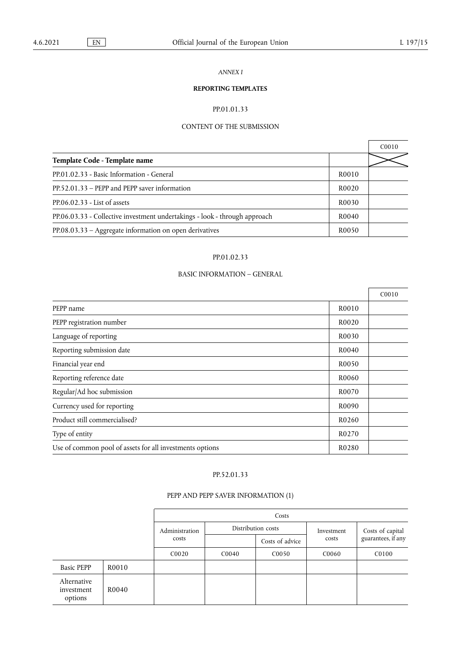# *ANNEX I*

# **REPORTING TEMPLATES**

# PP.01.01.33

# CONTENT OF THE SUBMISSION

|                                                                            |                    | CO <sub>010</sub> |
|----------------------------------------------------------------------------|--------------------|-------------------|
| Template Code - Template name                                              |                    |                   |
| PP.01.02.33 - Basic Information - General                                  | R0010              |                   |
| PP.52.01.33 - PEPP and PEPP saver information                              | R <sub>0</sub> 020 |                   |
| $PP.06.02.33 - List of assets$                                             | R0030              |                   |
| PP.06.03.33 - Collective investment undertakings - look - through approach | R <sub>0040</sub>  |                   |
| PP.08.03.33 - Aggregate information on open derivatives                    | R <sub>0050</sub>  |                   |

# PP.01.02.33

# BASIC INFORMATION – GENERAL

|                                                          |       | C <sub>0010</sub> |
|----------------------------------------------------------|-------|-------------------|
| PEPP name                                                | R0010 |                   |
| PEPP registration number                                 | R0020 |                   |
| Language of reporting                                    | R0030 |                   |
| Reporting submission date                                | R0040 |                   |
| Financial year end                                       | R0050 |                   |
| Reporting reference date                                 | R0060 |                   |
| Regular/Ad hoc submission                                | R0070 |                   |
| Currency used for reporting                              | R0090 |                   |
| Product still commercialised?                            | R0260 |                   |
| Type of entity                                           | R0270 |                   |
| Use of common pool of assets for all investments options | R0280 |                   |

# PP.52.01.33

# PEPP AND PEPP SAVER INFORMATION (1)

|                                      |       | Costs          |                    |                   |            |                    |
|--------------------------------------|-------|----------------|--------------------|-------------------|------------|--------------------|
|                                      |       | Administration | Distribution costs |                   | Investment | Costs of capital   |
|                                      |       | costs          |                    | Costs of advice   | costs      | guarantees, if any |
|                                      |       | C0020          | C0040              | C <sub>0050</sub> | C0060      | C0100              |
| <b>Basic PEPP</b>                    | R0010 |                |                    |                   |            |                    |
| Alternative<br>investment<br>options | R0040 |                |                    |                   |            |                    |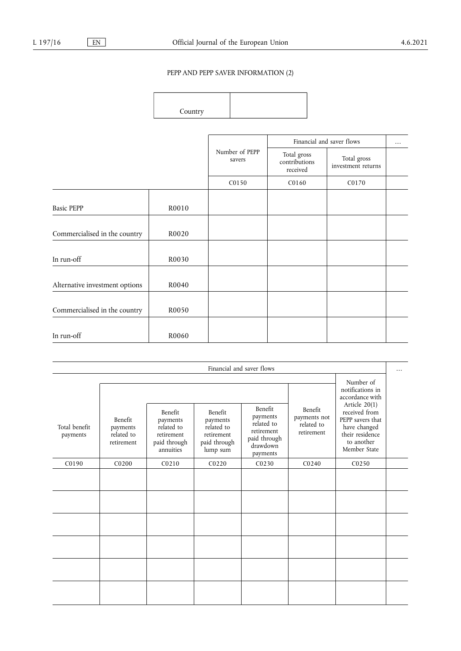# PEPP AND PEPP SAVER INFORMATION (2)

Country

|                                |       |                          |                                          | Financial and saver flows         | $\cdots$ |
|--------------------------------|-------|--------------------------|------------------------------------------|-----------------------------------|----------|
|                                |       | Number of PEPP<br>savers | Total gross<br>contributions<br>received | Total gross<br>investment returns |          |
|                                |       | C0150                    | C0160                                    | C0170                             |          |
| <b>Basic PEPP</b>              | R0010 |                          |                                          |                                   |          |
| Commercialised in the country  | R0020 |                          |                                          |                                   |          |
| In run-off                     | R0030 |                          |                                          |                                   |          |
| Alternative investment options | R0040 |                          |                                          |                                   |          |
| Commercialised in the country  | R0050 |                          |                                          |                                   |          |
| In run-off                     | R0060 |                          |                                          |                                   |          |

| Financial and saver flows |                                                 |                                                                              |                                                                                    |                                                                                                |                                                            |                                                                                                                       | . |
|---------------------------|-------------------------------------------------|------------------------------------------------------------------------------|------------------------------------------------------------------------------------|------------------------------------------------------------------------------------------------|------------------------------------------------------------|-----------------------------------------------------------------------------------------------------------------------|---|
|                           |                                                 |                                                                              |                                                                                    |                                                                                                |                                                            | Number of<br>notifications in<br>accordance with                                                                      |   |
| Total benefit<br>payments | Benefit<br>payments<br>related to<br>retirement | Benefit<br>payments<br>related to<br>retirement<br>paid through<br>annuities | <b>Benefit</b><br>payments<br>related to<br>retirement<br>paid through<br>lump sum | <b>Benefit</b><br>payments<br>related to<br>retirement<br>paid through<br>drawdown<br>payments | <b>Benefit</b><br>payments not<br>related to<br>retirement | Article $20(1)$<br>received from<br>PEPP savers that<br>have changed<br>their residence<br>to another<br>Member State |   |
| C0190                     | C0200                                           | C0210                                                                        | C <sub>0220</sub>                                                                  | CO <sub>230</sub>                                                                              | C <sub>0240</sub>                                          | C0250                                                                                                                 |   |
|                           |                                                 |                                                                              |                                                                                    |                                                                                                |                                                            |                                                                                                                       |   |
|                           |                                                 |                                                                              |                                                                                    |                                                                                                |                                                            |                                                                                                                       |   |
|                           |                                                 |                                                                              |                                                                                    |                                                                                                |                                                            |                                                                                                                       |   |
|                           |                                                 |                                                                              |                                                                                    |                                                                                                |                                                            |                                                                                                                       |   |
|                           |                                                 |                                                                              |                                                                                    |                                                                                                |                                                            |                                                                                                                       |   |
|                           |                                                 |                                                                              |                                                                                    |                                                                                                |                                                            |                                                                                                                       |   |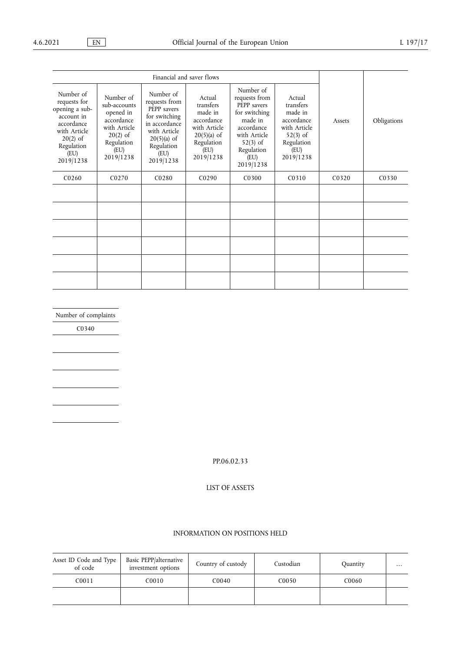| Financial and saver flows                                                                                                                |                                                                                                                       |                                                                                                                                                 |                                                                                                                  |                                                                                                                                                      |                                                                                                               |                                |                   |
|------------------------------------------------------------------------------------------------------------------------------------------|-----------------------------------------------------------------------------------------------------------------------|-------------------------------------------------------------------------------------------------------------------------------------------------|------------------------------------------------------------------------------------------------------------------|------------------------------------------------------------------------------------------------------------------------------------------------------|---------------------------------------------------------------------------------------------------------------|--------------------------------|-------------------|
| Number of<br>requests for<br>opening a sub-<br>account in<br>accordance<br>with Article<br>$20(2)$ of<br>Regulation<br>(EU)<br>2019/1238 | Number of<br>sub-accounts<br>opened in<br>accordance<br>with Article<br>$20(2)$ of<br>Regulation<br>(EU)<br>2019/1238 | Number of<br>requests from<br>PEPP savers<br>for switching<br>in accordance<br>with Article<br>$20(5)(a)$ of<br>Regulation<br>(EU)<br>2019/1238 | Actual<br>transfers<br>made in<br>accordance<br>with Article<br>$20(5)(a)$ of<br>Regulation<br>(EU)<br>2019/1238 | Number of<br>requests from<br>PEPP savers<br>for switching<br>made in<br>accordance<br>with Article<br>$52(3)$ of<br>Regulation<br>(EU)<br>2019/1238 | Actual<br>transfers<br>made in<br>accordance<br>with Article<br>$52(3)$ of<br>Regulation<br>(EU)<br>2019/1238 | Assets                         | Obligations       |
| C <sub>0260</sub>                                                                                                                        | C <sub>0270</sub>                                                                                                     | C <sub>0280</sub>                                                                                                                               | C <sub>0290</sub>                                                                                                | C <sub>0</sub> 30 <sub>0</sub>                                                                                                                       | C <sub>0</sub> 31 <sub>0</sub>                                                                                | C <sub>0</sub> 32 <sub>0</sub> | C <sub>0330</sub> |
|                                                                                                                                          |                                                                                                                       |                                                                                                                                                 |                                                                                                                  |                                                                                                                                                      |                                                                                                               |                                |                   |
|                                                                                                                                          |                                                                                                                       |                                                                                                                                                 |                                                                                                                  |                                                                                                                                                      |                                                                                                               |                                |                   |
|                                                                                                                                          |                                                                                                                       |                                                                                                                                                 |                                                                                                                  |                                                                                                                                                      |                                                                                                               |                                |                   |
|                                                                                                                                          |                                                                                                                       |                                                                                                                                                 |                                                                                                                  |                                                                                                                                                      |                                                                                                               |                                |                   |
|                                                                                                                                          |                                                                                                                       |                                                                                                                                                 |                                                                                                                  |                                                                                                                                                      |                                                                                                               |                                |                   |
|                                                                                                                                          |                                                                                                                       |                                                                                                                                                 |                                                                                                                  |                                                                                                                                                      |                                                                                                               |                                |                   |

Number of complaints

C0340

PP.06.02.33

LIST OF ASSETS

# INFORMATION ON POSITIONS HELD

| Asset ID Code and Type<br>of code | Basic PEPP/alternative<br>investment options | Country of custody | Custodian | Quantity | $\cdots$ |
|-----------------------------------|----------------------------------------------|--------------------|-----------|----------|----------|
| C0011                             | C0010                                        | C0040              | C0050     | C0060    |          |
|                                   |                                              |                    |           |          |          |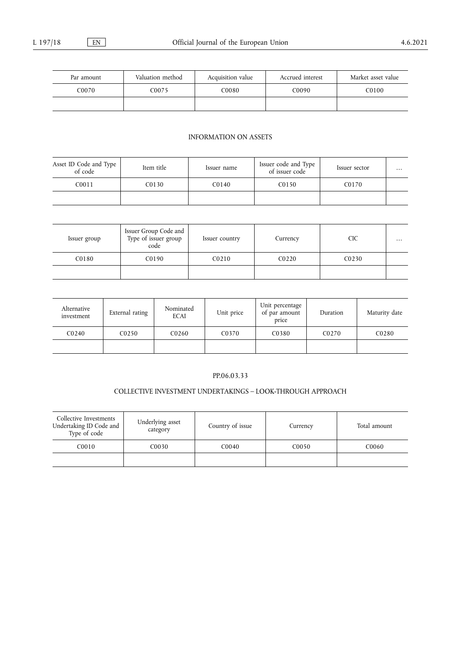| Par amount | Valuation method | Acquisition value | Accrued interest | Market asset value |
|------------|------------------|-------------------|------------------|--------------------|
| C0070      | C0075            | C0080             | C0090            | C0100-             |
|            |                  |                   |                  |                    |

# INFORMATION ON ASSETS

| Asset ID Code and Type<br>of code | Item title | Issuer name | Issuer code and Type<br>of issuer code | Issuer sector | $\cdots$ |
|-----------------------------------|------------|-------------|----------------------------------------|---------------|----------|
| C0011                             | C0130      | C0140       | C0150                                  | C0170         |          |
|                                   |            |             |                                        |               |          |

| Issuer group | Issuer Group Code and<br>Type of issuer group<br>code | Issuer country | Currency          | CIC               | $\cdots$ |
|--------------|-------------------------------------------------------|----------------|-------------------|-------------------|----------|
| C0180        | C0190                                                 | C0210          | CO <sub>220</sub> | C <sub>0230</sub> |          |
|              |                                                       |                |                   |                   |          |

| Alternative<br>investment | External rating | Nominated<br><b>ECAI</b> | Unit price                     | Unit percentage<br>of par amount<br>price | Duration          | Maturity date     |
|---------------------------|-----------------|--------------------------|--------------------------------|-------------------------------------------|-------------------|-------------------|
| CO <sub>240</sub>         | C0250           | C <sub>0260</sub>        | C <sub>0</sub> 37 <sub>0</sub> | C <sub>0</sub> 380                        | C <sub>0270</sub> | C <sub>0280</sub> |
|                           |                 |                          |                                |                                           |                   |                   |

# PP.06.03.33

# COLLECTIVE INVESTMENT UNDERTAKINGS – LOOK-THROUGH APPROACH

| Collective Investments<br>Undertaking ID Code and<br>Type of code | Underlying asset<br>category | Country of issue | Currency | Total amount |
|-------------------------------------------------------------------|------------------------------|------------------|----------|--------------|
| C0010                                                             | CO <sub>030</sub>            | C0040            | C0050    | C0060        |
|                                                                   |                              |                  |          |              |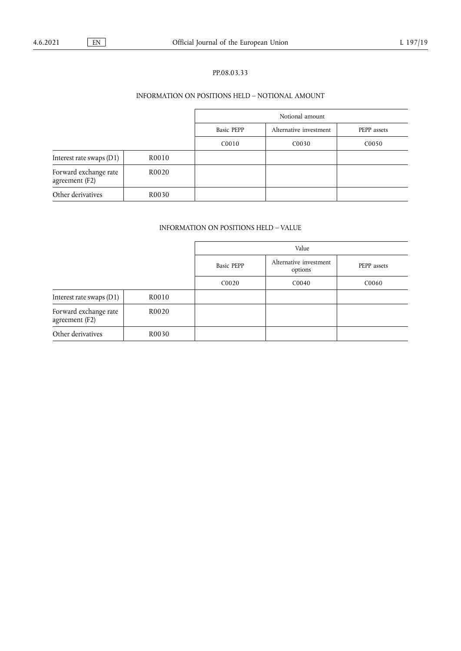# PP.08.03.33

# INFORMATION ON POSITIONS HELD – NOTIONAL AMOUNT

|                                         |       | Notional amount   |                        |                   |
|-----------------------------------------|-------|-------------------|------------------------|-------------------|
|                                         |       | <b>Basic PEPP</b> | Alternative investment | PEPP assets       |
|                                         |       | C <sub>0010</sub> | C <sub>00</sub> 30     | C <sub>0050</sub> |
| Interest rate swaps (D1)                | R0010 |                   |                        |                   |
| Forward exchange rate<br>agreement (F2) | R0020 |                   |                        |                   |
| Other derivatives                       | R0030 |                   |                        |                   |

# INFORMATION ON POSITIONS HELD – VALUE

|                                         |       | Value             |                                   |             |
|-----------------------------------------|-------|-------------------|-----------------------------------|-------------|
|                                         |       | <b>Basic PEPP</b> | Alternative investment<br>options | PEPP assets |
|                                         |       | C0020             | C0040                             | C0060       |
| Interest rate swaps (D1)                | R0010 |                   |                                   |             |
| Forward exchange rate<br>agreement (F2) | R0020 |                   |                                   |             |
| Other derivatives                       | R0030 |                   |                                   |             |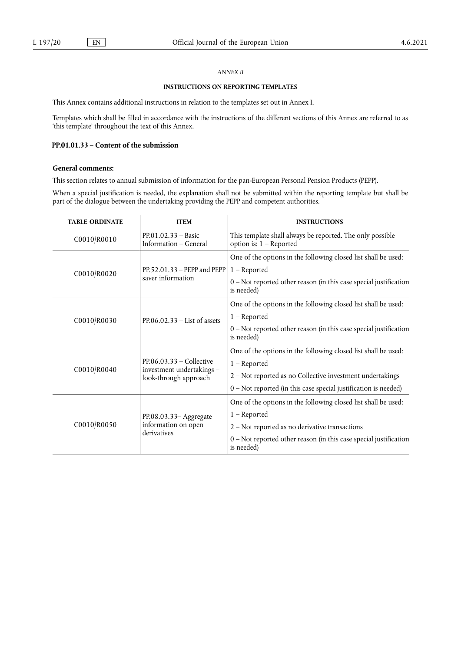# *ANNEX II*

### **INSTRUCTIONS ON REPORTING TEMPLATES**

This Annex contains additional instructions in relation to the templates set out in Annex I.

Templates which shall be filled in accordance with the instructions of the different sections of this Annex are referred to as 'this template' throughout the text of this Annex.

# **PP.01.01.33 – Content of the submission**

# **General comments:**

This section relates to annual submission of information for the pan-European Personal Pension Products (PEPP).

When a special justification is needed, the explanation shall not be submitted within the reporting template but shall be part of the dialogue between the undertaking providing the PEPP and competent authorities.

| <b>TABLE ORDINATE</b> | <b>ITEM</b>                                                                      | <b>INSTRUCTIONS</b>                                                                    |
|-----------------------|----------------------------------------------------------------------------------|----------------------------------------------------------------------------------------|
| C0010/R0010           | $PP.01.02.33 - Basic$<br>Information – General                                   | This template shall always be reported. The only possible<br>option is: $1 -$ Reported |
|                       | $PP.52.01.33 - PEPP$ and $PEPP$<br>saver information                             | One of the options in the following closed list shall be used:                         |
| C0010/R0020           |                                                                                  | $1 -$ Reported                                                                         |
|                       |                                                                                  | $0$ – Not reported other reason (in this case special justification<br>is needed)      |
|                       | $PP.06.02.33 - List$ of assets                                                   | One of the options in the following closed list shall be used:                         |
| C0010/R0030           |                                                                                  | $1 -$ Reported                                                                         |
|                       |                                                                                  | 0 - Not reported other reason (in this case special justification<br>is needed)        |
|                       | $PP.06.03.33 - Collective$<br>investment undertakings -<br>look-through approach | One of the options in the following closed list shall be used:                         |
| C0010/R0040           |                                                                                  | $1 -$ Reported                                                                         |
|                       |                                                                                  | 2 - Not reported as no Collective investment undertakings                              |
|                       |                                                                                  | $0$ – Not reported (in this case special justification is needed)                      |
|                       |                                                                                  | One of the options in the following closed list shall be used:                         |
|                       | PP.08.03.33-Aggregate<br>information on open<br>derivatives                      | $1 -$ Reported                                                                         |
| C0010/R0050           |                                                                                  | 2 - Not reported as no derivative transactions                                         |
|                       |                                                                                  | $0$ – Not reported other reason (in this case special justification<br>is needed)      |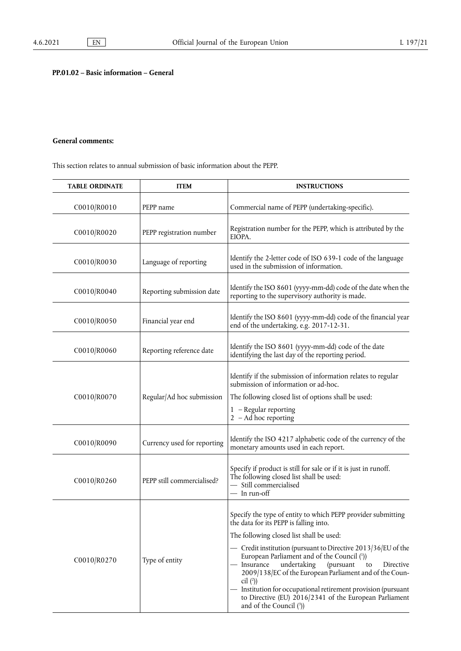# **PP.01.02 – Basic information – General**

# **General comments:**

This section relates to annual submission of basic information about the PEPP.

<span id="page-14-2"></span><span id="page-14-1"></span><span id="page-14-0"></span>

| <b>TABLE ORDINATE</b> | <b>ITEM</b>                 | <b>INSTRUCTIONS</b>                                                                                                                                                                                                                                                                                                                                                                                                                                                                                                                                               |
|-----------------------|-----------------------------|-------------------------------------------------------------------------------------------------------------------------------------------------------------------------------------------------------------------------------------------------------------------------------------------------------------------------------------------------------------------------------------------------------------------------------------------------------------------------------------------------------------------------------------------------------------------|
| C0010/R0010           | PEPP name                   | Commercial name of PEPP (undertaking-specific).                                                                                                                                                                                                                                                                                                                                                                                                                                                                                                                   |
| C0010/R0020           | PEPP registration number    | Registration number for the PEPP, which is attributed by the<br>EIOPA.                                                                                                                                                                                                                                                                                                                                                                                                                                                                                            |
| C0010/R0030           | Language of reporting       | Identify the 2-letter code of ISO 639-1 code of the language<br>used in the submission of information.                                                                                                                                                                                                                                                                                                                                                                                                                                                            |
| C0010/R0040           | Reporting submission date   | Identify the ISO 8601 (yyyy-mm-dd) code of the date when the<br>reporting to the supervisory authority is made.                                                                                                                                                                                                                                                                                                                                                                                                                                                   |
| C0010/R0050           | Financial year end          | Identify the ISO 8601 (yyyy-mm-dd) code of the financial year<br>end of the undertaking, e.g. 2017-12-31.                                                                                                                                                                                                                                                                                                                                                                                                                                                         |
| C0010/R0060           | Reporting reference date    | Identify the ISO 8601 (yyyy-mm-dd) code of the date<br>identifying the last day of the reporting period.                                                                                                                                                                                                                                                                                                                                                                                                                                                          |
| C0010/R0070           | Regular/Ad hoc submission   | Identify if the submission of information relates to regular<br>submission of information or ad-hoc.<br>The following closed list of options shall be used:<br>$1 -$ Regular reporting<br>$2 - Ad$ hoc reporting                                                                                                                                                                                                                                                                                                                                                  |
| C0010/R0090           | Currency used for reporting | Identify the ISO 4217 alphabetic code of the currency of the<br>monetary amounts used in each report.                                                                                                                                                                                                                                                                                                                                                                                                                                                             |
| C0010/R0260           | PEPP still commercialised?  | Specify if product is still for sale or if it is just in runoff.<br>The following closed list shall be used:<br>- Still commercialised<br>— In run-off                                                                                                                                                                                                                                                                                                                                                                                                            |
| C0010/R0270           | Type of entity              | Specify the type of entity to which PEPP provider submitting<br>the data for its PEPP is falling into.<br>The following closed list shall be used:<br>- Credit institution (pursuant to Directive 2013/36/EU of the<br>European Parliament and of the Council (1))<br>- Insurance<br>undertaking<br>(pursuant<br>to<br>Directive<br>2009/138/EC of the European Parliament and of the Coun-<br>cil $(2)$<br>- Institution for occupational retirement provision (pursuant<br>to Directive (EU) 2016/2341 of the European Parliament<br>and of the Council $(3)$ ) |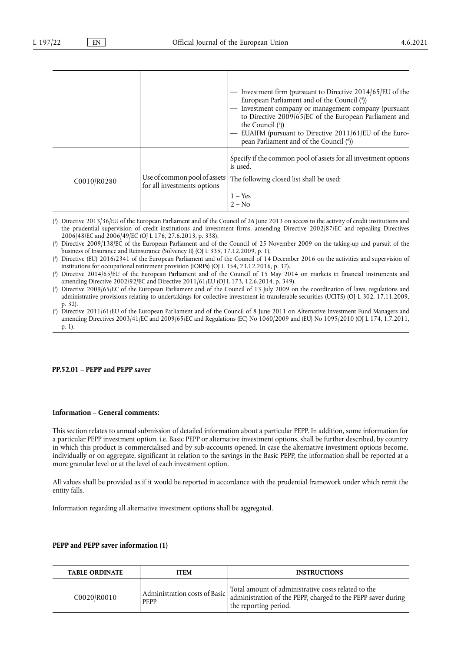<span id="page-15-8"></span><span id="page-15-7"></span><span id="page-15-6"></span>

|             |                                                             | — Investment firm (pursuant to Directive 2014/65/EU of the<br>European Parliament and of the Council (4)<br>- Investment company or management company (pursuant<br>to Directive 2009/65/EC of the European Parliament and<br>the Council $(5)$ )<br>EUAIFM (pursuant to Directive 2011/61/EU of the Euro-<br>pean Parliament and of the Council (6) |
|-------------|-------------------------------------------------------------|------------------------------------------------------------------------------------------------------------------------------------------------------------------------------------------------------------------------------------------------------------------------------------------------------------------------------------------------------|
| C0010/R0280 | Use of common pool of assets<br>for all investments options | Specify if the common pool of assets for all investment options<br>is used.<br>The following closed list shall be used:<br>$1 - Yes$<br>$2 - No$                                                                                                                                                                                                     |

<span id="page-15-0"></span>[\(](#page-14-0) 1 ) Directive 2013/36/EU of the European Parliament and of the Council of 26 June 2013 on access to the activity of credit institutions and the prudential supervision of credit institutions and investment firms, amending Directive 2002/87/EC and repealing Directives 2006/48/EC and 2006/49/EC (OJ L 176, 27.6.2013, p. 338).

<span id="page-15-1"></span> $(2)$  $(2)$ ) Directive 2009/138/EC of the European Parliament and of the Council of 25 November 2009 on the taking-up and pursuit of the business of Insurance and Reinsurance (Solvency II) (OJ L 335, 17.12.2009, p. 1).

<span id="page-15-2"></span>[\(](#page-14-2) 3 ) Directive (EU) 2016/2341 of the European Parliament and of the Council of 14 December 2016 on the activities and supervision of institutions for occupational retirement provision (IORPs) (OJ L 354, 23.12.2016, p. 37).

<span id="page-15-3"></span> $($ <sup>4</sup> ) Directive 2014/65/EU of the European Parliament and of the Council of 15 May 2014 on markets in financial instruments and amending Directive 2002/92/EC and Directive 2011/61/EU (OJ L 173, 12.6.2014, p. 349).

<span id="page-15-4"></span>[\(](#page-15-7) 5 ) Directive 2009/65/EC of the European Parliament and of the Council of 13 July 2009 on the coordination of laws, regulations and administrative provisions relating to undertakings for collective investment in transferable securities (UCITS) (OJ L 302, 17.11.2009, p. 32).

<span id="page-15-5"></span>[\(](#page-15-8) 6 ) Directive 2011/61/EU of the European Parliament and of the Council of 8 June 2011 on Alternative Investment Fund Managers and amending Directives 2003/41/EC and 2009/65/EC and Regulations (EC) No 1060/2009 and (EU) No 1095/2010 (OJ L 174, 1.7.2011, p. 1).

# **PP.52.01 – PEPP and PEPP saver**

# **Information – General comments:**

This section relates to annual submission of detailed information about a particular PEPP. In addition, some information for a particular PEPP investment option, i.e. Basic PEPP or alternative investment options, shall be further described, by country in which this product is commercialised and by sub-accounts opened. In case the alternative investment options become, individually or on aggregate, significant in relation to the savings in the Basic PEPP, the information shall be reported at a more granular level or at the level of each investment option.

All values shall be provided as if it would be reported in accordance with the prudential framework under which remit the entity falls.

Information regarding all alternative investment options shall be aggregated.

### **PEPP and PEPP saver information (1)**

| <b>TABLE ORDINATE</b> | <b>ITEM</b>                                  | <b>INSTRUCTIONS</b>                                                                                                                          |
|-----------------------|----------------------------------------------|----------------------------------------------------------------------------------------------------------------------------------------------|
| C0020/R0010           | Administration costs of Basic<br><b>PEPP</b> | Total amount of administrative costs related to the<br>administration of the PEPP, charged to the PEPP saver during<br>the reporting period. |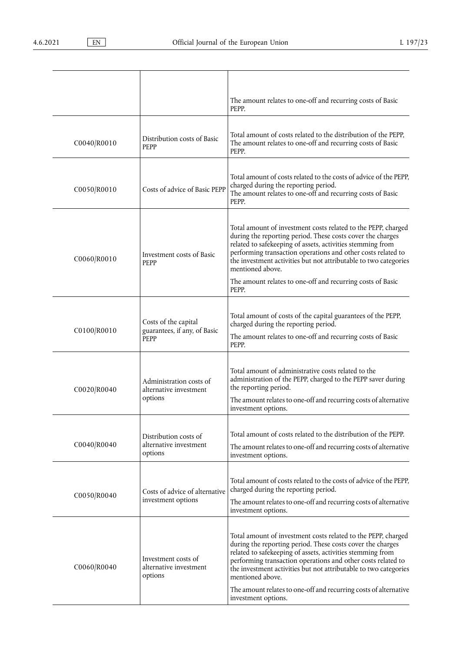|             |                                                              | The amount relates to one-off and recurring costs of Basic<br>PEPP.                                                                                                                                                                                                                                                                                                                                                                          |
|-------------|--------------------------------------------------------------|----------------------------------------------------------------------------------------------------------------------------------------------------------------------------------------------------------------------------------------------------------------------------------------------------------------------------------------------------------------------------------------------------------------------------------------------|
| C0040/R0010 | Distribution costs of Basic<br><b>PEPP</b>                   | Total amount of costs related to the distribution of the PEPP,<br>The amount relates to one-off and recurring costs of Basic<br>PEPP.                                                                                                                                                                                                                                                                                                        |
| C0050/R0010 | Costs of advice of Basic PEPP                                | Total amount of costs related to the costs of advice of the PEPP,<br>charged during the reporting period.<br>The amount relates to one-off and recurring costs of Basic<br>PEPP.                                                                                                                                                                                                                                                             |
| C0060/R0010 | Investment costs of Basic<br><b>PEPP</b>                     | Total amount of investment costs related to the PEPP, charged<br>during the reporting period. These costs cover the charges<br>related to safekeeping of assets, activities stemming from<br>performing transaction operations and other costs related to<br>the investment activities but not attributable to two categories<br>mentioned above.<br>The amount relates to one-off and recurring costs of Basic<br>PEPP.                     |
| C0100/R0010 | Costs of the capital<br>guarantees, if any, of Basic<br>PEPP | Total amount of costs of the capital guarantees of the PEPP,<br>charged during the reporting period.<br>The amount relates to one-off and recurring costs of Basic<br>PEPP.                                                                                                                                                                                                                                                                  |
| C0020/R0040 | Administration costs of<br>alternative investment<br>options | Total amount of administrative costs related to the<br>administration of the PEPP, charged to the PEPP saver during<br>the reporting period.<br>The amount relates to one-off and recurring costs of alternative<br>investment options.                                                                                                                                                                                                      |
| C0040/R0040 | Distribution costs of<br>alternative investment<br>options   | Total amount of costs related to the distribution of the PEPP.<br>The amount relates to one-off and recurring costs of alternative<br>investment options.                                                                                                                                                                                                                                                                                    |
| C0050/R0040 | Costs of advice of alternative<br>investment options         | Total amount of costs related to the costs of advice of the PEPP,<br>charged during the reporting period.<br>The amount relates to one-off and recurring costs of alternative<br>investment options.                                                                                                                                                                                                                                         |
| C0060/R0040 | Investment costs of<br>alternative investment<br>options     | Total amount of investment costs related to the PEPP, charged<br>during the reporting period. These costs cover the charges<br>related to safekeeping of assets, activities stemming from<br>performing transaction operations and other costs related to<br>the investment activities but not attributable to two categories<br>mentioned above.<br>The amount relates to one-off and recurring costs of alternative<br>investment options. |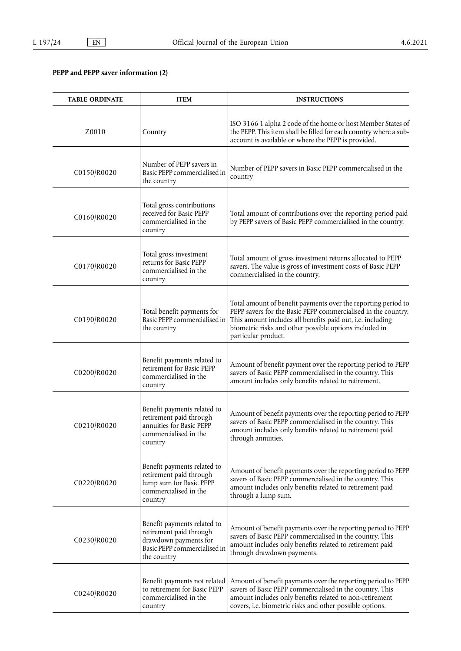# **PEPP and PEPP saver information (2)**

| <b>TABLE ORDINATE</b> | <b>ITEM</b>                                                                                                                    | <b>INSTRUCTIONS</b>                                                                                                                                                                                                                                                           |
|-----------------------|--------------------------------------------------------------------------------------------------------------------------------|-------------------------------------------------------------------------------------------------------------------------------------------------------------------------------------------------------------------------------------------------------------------------------|
| Z0010                 | Country                                                                                                                        | ISO 3166 1 alpha 2 code of the home or host Member States of<br>the PEPP. This item shall be filled for each country where a sub-<br>account is available or where the PEPP is provided.                                                                                      |
| C0150/R0020           | Number of PEPP savers in<br>Basic PEPP commercialised in<br>the country                                                        | Number of PEPP savers in Basic PEPP commercialised in the<br>country                                                                                                                                                                                                          |
| C0160/R0020           | Total gross contributions<br>received for Basic PEPP<br>commercialised in the<br>country                                       | Total amount of contributions over the reporting period paid<br>by PEPP savers of Basic PEPP commercialised in the country.                                                                                                                                                   |
| C0170/R0020           | Total gross investment<br>returns for Basic PEPP<br>commercialised in the<br>country                                           | Total amount of gross investment returns allocated to PEPP<br>savers. The value is gross of investment costs of Basic PEPP<br>commercialised in the country.                                                                                                                  |
| C0190/R0020           | Total benefit payments for<br>Basic PEPP commercialised in<br>the country                                                      | Total amount of benefit payments over the reporting period to<br>PEPP savers for the Basic PEPP commercialised in the country.<br>This amount includes all benefits paid out, i.e. including<br>biometric risks and other possible options included in<br>particular product. |
| C0200/R0020           | Benefit payments related to<br>retirement for Basic PEPP<br>commercialised in the<br>country                                   | Amount of benefit payment over the reporting period to PEPP<br>savers of Basic PEPP commercialised in the country. This<br>amount includes only benefits related to retirement.                                                                                               |
| C0210/R0020           | Benefit payments related to<br>retirement paid through<br>annuities for Basic PEPP<br>commercialised in the<br>country         | Amount of benefit payments over the reporting period to PEPP<br>savers of Basic PEPP commercialised in the country. This<br>amount includes only benefits related to retirement paid<br>through annuities.                                                                    |
| C0220/R0020           | Benefit payments related to<br>retirement paid through<br>lump sum for Basic PEPP<br>commercialised in the<br>country          | Amount of benefit payments over the reporting period to PEPP<br>savers of Basic PEPP commercialised in the country. This<br>amount includes only benefits related to retirement paid<br>through a lump sum.                                                                   |
| C0230/R0020           | Benefit payments related to<br>retirement paid through<br>drawdown payments for<br>Basic PEPP commercialised in<br>the country | Amount of benefit payments over the reporting period to PEPP<br>savers of Basic PEPP commercialised in the country. This<br>amount includes only benefits related to retirement paid<br>through drawdown payments.                                                            |
| C0240/R0020           | Benefit payments not related<br>to retirement for Basic PEPP<br>commercialised in the<br>country                               | Amount of benefit payments over the reporting period to PEPP<br>savers of Basic PEPP commercialised in the country. This<br>amount includes only benefits related to non-retirement<br>covers, i.e. biometric risks and other possible options.                               |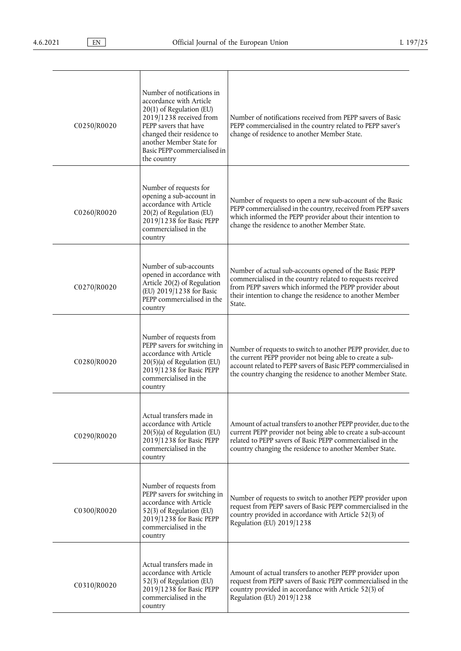| C0250/R0020 | Number of notifications in<br>accordance with Article<br>20(1) of Regulation (EU)<br>2019/1238 received from<br>PEPP savers that have<br>changed their residence to<br>another Member State for<br>Basic PEPP commercialised in<br>the country | Number of notifications received from PEPP savers of Basic<br>PEPP commercialised in the country related to PEPP saver's<br>change of residence to another Member State.                                                                                    |
|-------------|------------------------------------------------------------------------------------------------------------------------------------------------------------------------------------------------------------------------------------------------|-------------------------------------------------------------------------------------------------------------------------------------------------------------------------------------------------------------------------------------------------------------|
| C0260/R0020 | Number of requests for<br>opening a sub-account in<br>accordance with Article<br>20(2) of Regulation (EU)<br>2019/1238 for Basic PEPP<br>commercialised in the<br>country                                                                      | Number of requests to open a new sub-account of the Basic<br>PEPP commercialised in the country, received from PEPP savers<br>which informed the PEPP provider about their intention to<br>change the residence to another Member State.                    |
| C0270/R0020 | Number of sub-accounts<br>opened in accordance with<br>Article 20(2) of Regulation<br>(EU) 2019/1238 for Basic<br>PEPP commercialised in the<br>country                                                                                        | Number of actual sub-accounts opened of the Basic PEPP<br>commercialised in the country related to requests received<br>from PEPP savers which informed the PEPP provider about<br>their intention to change the residence to another Member<br>State.      |
| C0280/R0020 | Number of requests from<br>PEPP savers for switching in<br>accordance with Article<br>20(5)(a) of Regulation (EU)<br>2019/1238 for Basic PEPP<br>commercialised in the<br>country                                                              | Number of requests to switch to another PEPP provider, due to<br>the current PEPP provider not being able to create a sub-<br>account related to PEPP savers of Basic PEPP commercialised in<br>the country changing the residence to another Member State. |
| C0290/R0020 | Actual transfers made in<br>accordance with Article<br>$20(5)$ (a) of Regulation (EU)<br>2019/1238 for Basic PEPP<br>commercialised in the<br>country                                                                                          | Amount of actual transfers to another PEPP provider, due to the<br>current PEPP provider not being able to create a sub-account<br>related to PEPP savers of Basic PEPP commercialised in the<br>country changing the residence to another Member State.    |
| C0300/R0020 | Number of requests from<br>PEPP savers for switching in<br>accordance with Article<br>52(3) of Regulation (EU)<br>2019/1238 for Basic PEPP<br>commercialised in the<br>country                                                                 | Number of requests to switch to another PEPP provider upon<br>request from PEPP savers of Basic PEPP commercialised in the<br>country provided in accordance with Article 52(3) of<br>Regulation (EU) 2019/1238                                             |
| C0310/R0020 | Actual transfers made in<br>accordance with Article<br>52(3) of Regulation (EU)<br>2019/1238 for Basic PEPP<br>commercialised in the<br>country                                                                                                | Amount of actual transfers to another PEPP provider upon<br>request from PEPP savers of Basic PEPP commercialised in the<br>country provided in accordance with Article 52(3) of<br>Regulation (EU) 2019/1238                                               |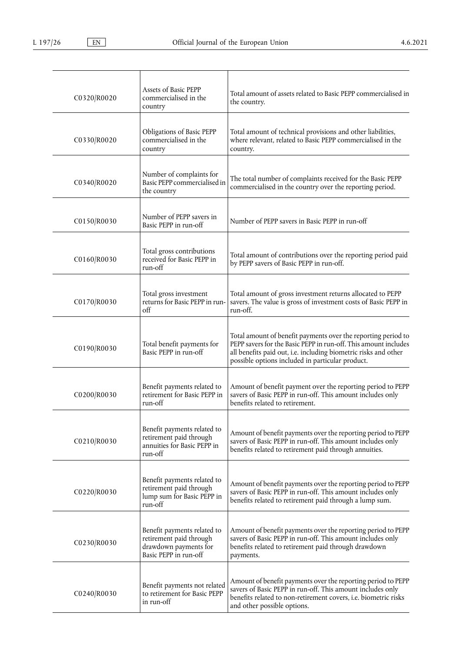| C0320/R0020 | Assets of Basic PEPP<br>commercialised in the<br>country                                                 | Total amount of assets related to Basic PEPP commercialised in<br>the country.                                                                                                                                                                          |
|-------------|----------------------------------------------------------------------------------------------------------|---------------------------------------------------------------------------------------------------------------------------------------------------------------------------------------------------------------------------------------------------------|
| C0330/R0020 | Obligations of Basic PEPP<br>commercialised in the<br>country                                            | Total amount of technical provisions and other liabilities,<br>where relevant, related to Basic PEPP commercialised in the<br>country.                                                                                                                  |
| C0340/R0020 | Number of complaints for<br>Basic PEPP commercialised in<br>the country                                  | The total number of complaints received for the Basic PEPP<br>commercialised in the country over the reporting period.                                                                                                                                  |
| C0150/R0030 | Number of PEPP savers in<br>Basic PEPP in run-off                                                        | Number of PEPP savers in Basic PEPP in run-off                                                                                                                                                                                                          |
| C0160/R0030 | Total gross contributions<br>received for Basic PEPP in<br>run-off                                       | Total amount of contributions over the reporting period paid<br>by PEPP savers of Basic PEPP in run-off.                                                                                                                                                |
| C0170/R0030 | Total gross investment<br>returns for Basic PEPP in run-<br>$\alpha$                                     | Total amount of gross investment returns allocated to PEPP<br>savers. The value is gross of investment costs of Basic PEPP in<br>run-off.                                                                                                               |
| C0190/R0030 | Total benefit payments for<br>Basic PEPP in run-off                                                      | Total amount of benefit payments over the reporting period to<br>PEPP savers for the Basic PEPP in run-off. This amount includes<br>all benefits paid out, i.e. including biometric risks and other<br>possible options included in particular product. |
| C0200/R0030 | Benefit payments related to<br>retirement for Basic PEPP in<br>run-off                                   | Amount of benefit payment over the reporting period to PEPP<br>savers of Basic PEPP in run-off. This amount includes only<br>benefits related to retirement.                                                                                            |
| C0210/R0030 | Benefit payments related to<br>retirement paid through<br>annuities for Basic PEPP in<br>run-off         | Amount of benefit payments over the reporting period to PEPP<br>savers of Basic PEPP in run-off. This amount includes only<br>benefits related to retirement paid through annuities.                                                                    |
| C0220/R0030 | Benefit payments related to<br>retirement paid through<br>lump sum for Basic PEPP in<br>run-off          | Amount of benefit payments over the reporting period to PEPP<br>savers of Basic PEPP in run-off. This amount includes only<br>benefits related to retirement paid through a lump sum.                                                                   |
| C0230/R0030 | Benefit payments related to<br>retirement paid through<br>drawdown payments for<br>Basic PEPP in run-off | Amount of benefit payments over the reporting period to PEPP<br>savers of Basic PEPP in run-off. This amount includes only<br>benefits related to retirement paid through drawdown<br>payments.                                                         |
| C0240/R0030 | Benefit payments not related<br>to retirement for Basic PEPP<br>in run-off                               | Amount of benefit payments over the reporting period to PEPP<br>savers of Basic PEPP in run-off. This amount includes only<br>benefits related to non-retirement covers, i.e. biometric risks<br>and other possible options.                            |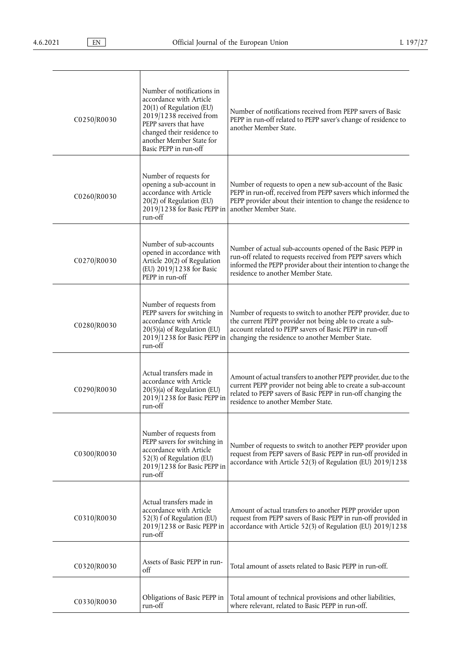| C0250/R0030 | Number of notifications in<br>accordance with Article<br>20(1) of Regulation (EU)<br>2019/1238 received from<br>PEPP savers that have<br>changed their residence to<br>another Member State for<br>Basic PEPP in run-off | Number of notifications received from PEPP savers of Basic<br>PEPP in run-off related to PEPP saver's change of residence to<br>another Member State.                                                                                    |
|-------------|--------------------------------------------------------------------------------------------------------------------------------------------------------------------------------------------------------------------------|------------------------------------------------------------------------------------------------------------------------------------------------------------------------------------------------------------------------------------------|
| C0260/R0030 | Number of requests for<br>opening a sub-account in<br>accordance with Article<br>20(2) of Regulation (EU)<br>2019/1238 for Basic PEPP in<br>run-off                                                                      | Number of requests to open a new sub-account of the Basic<br>PEPP in run-off, received from PEPP savers which informed the<br>PEPP provider about their intention to change the residence to<br>another Member State.                    |
| C0270/R0030 | Number of sub-accounts<br>opened in accordance with<br>Article 20(2) of Regulation<br>(EU) 2019/1238 for Basic<br>PEPP in run-off                                                                                        | Number of actual sub-accounts opened of the Basic PEPP in<br>run-off related to requests received from PEPP savers which<br>informed the PEPP provider about their intention to change the<br>residence to another Member State.         |
| C0280/R0030 | Number of requests from<br>PEPP savers for switching in<br>accordance with Article<br>20(5)(a) of Regulation (EU)<br>2019/1238 for Basic PEPP in<br>run-off                                                              | Number of requests to switch to another PEPP provider, due to<br>the current PEPP provider not being able to create a sub-<br>account related to PEPP savers of Basic PEPP in run-off<br>changing the residence to another Member State. |
| C0290/R0030 | Actual transfers made in<br>accordance with Article<br>20(5)(a) of Regulation (EU)<br>2019/1238 for Basic PEPP in<br>run-off                                                                                             | Amount of actual transfers to another PEPP provider, due to the<br>current PEPP provider not being able to create a sub-account<br>related to PEPP savers of Basic PEPP in run-off changing the<br>residence to another Member State.    |
| C0300/R0030 | Number of requests from<br>PEPP savers for switching in<br>accordance with Article<br>52(3) of Regulation (EU)<br>2019/1238 for Basic PEPP in<br>run-off                                                                 | Number of requests to switch to another PEPP provider upon<br>request from PEPP savers of Basic PEPP in run-off provided in<br>accordance with Article 52(3) of Regulation (EU) 2019/1238                                                |
| C0310/R0030 | Actual transfers made in<br>accordance with Article<br>52(3) f of Regulation (EU)<br>2019/1238 or Basic PEPP in<br>run-off                                                                                               | Amount of actual transfers to another PEPP provider upon<br>request from PEPP savers of Basic PEPP in run-off provided in<br>accordance with Article 52(3) of Regulation (EU) 2019/1238                                                  |
| C0320/R0030 | Assets of Basic PEPP in run-<br>off                                                                                                                                                                                      | Total amount of assets related to Basic PEPP in run-off.                                                                                                                                                                                 |
| C0330/R0030 | Obligations of Basic PEPP in<br>run-off                                                                                                                                                                                  | Total amount of technical provisions and other liabilities,<br>where relevant, related to Basic PEPP in run-off.                                                                                                                         |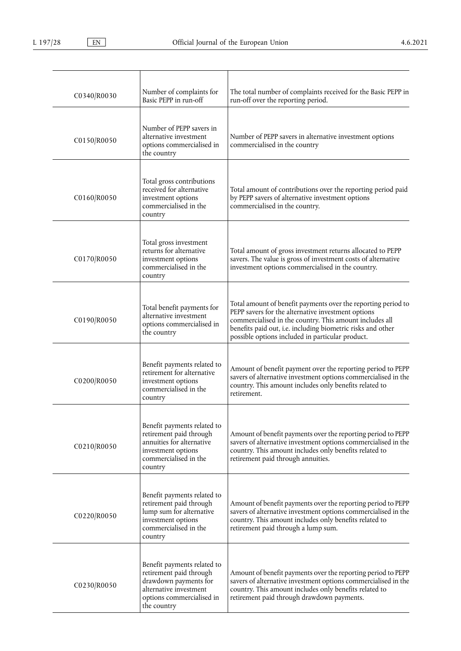| C0340/R0030 | Number of complaints for<br>Basic PEPP in run-off                                                                                                     | The total number of complaints received for the Basic PEPP in<br>run-off over the reporting period.                                                                                                                                                                                               |
|-------------|-------------------------------------------------------------------------------------------------------------------------------------------------------|---------------------------------------------------------------------------------------------------------------------------------------------------------------------------------------------------------------------------------------------------------------------------------------------------|
| C0150/R0050 | Number of PEPP savers in<br>alternative investment<br>options commercialised in<br>the country                                                        | Number of PEPP savers in alternative investment options<br>commercialised in the country                                                                                                                                                                                                          |
| C0160/R0050 | Total gross contributions<br>received for alternative<br>investment options<br>commercialised in the<br>country                                       | Total amount of contributions over the reporting period paid<br>by PEPP savers of alternative investment options<br>commercialised in the country.                                                                                                                                                |
| C0170/R0050 | Total gross investment<br>returns for alternative<br>investment options<br>commercialised in the<br>country                                           | Total amount of gross investment returns allocated to PEPP<br>savers. The value is gross of investment costs of alternative<br>investment options commercialised in the country.                                                                                                                  |
| C0190/R0050 | Total benefit payments for<br>alternative investment<br>options commercialised in<br>the country                                                      | Total amount of benefit payments over the reporting period to<br>PEPP savers for the alternative investment options<br>commercialised in the country. This amount includes all<br>benefits paid out, i.e. including biometric risks and other<br>possible options included in particular product. |
| C0200/R0050 | Benefit payments related to<br>retirement for alternative<br>investment options<br>commercialised in the<br>country                                   | Amount of benefit payment over the reporting period to PEPP<br>savers of alternative investment options commercialised in the<br>country. This amount includes only benefits related to<br>retirement.                                                                                            |
| C0210/R0050 | Benefit payments related to<br>retirement paid through<br>annuities for alternative<br>investment options<br>commercialised in the<br>country         | Amount of benefit payments over the reporting period to PEPP<br>savers of alternative investment options commercialised in the<br>country. This amount includes only benefits related to<br>retirement paid through annuities.                                                                    |
| C0220/R0050 | Benefit payments related to<br>retirement paid through<br>lump sum for alternative<br>investment options<br>commercialised in the<br>country          | Amount of benefit payments over the reporting period to PEPP<br>savers of alternative investment options commercialised in the<br>country. This amount includes only benefits related to<br>retirement paid through a lump sum.                                                                   |
| C0230/R0050 | Benefit payments related to<br>retirement paid through<br>drawdown payments for<br>alternative investment<br>options commercialised in<br>the country | Amount of benefit payments over the reporting period to PEPP<br>savers of alternative investment options commercialised in the<br>country. This amount includes only benefits related to<br>retirement paid through drawdown payments.                                                            |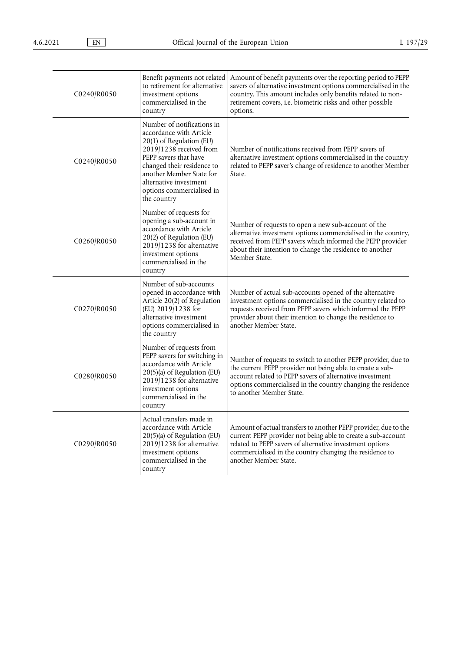| C0240/R0050 | Benefit payments not related<br>to retirement for alternative<br>investment options<br>commercialised in the<br>country                                                                                                                                               | Amount of benefit payments over the reporting period to PEPP<br>savers of alternative investment options commercialised in the<br>country. This amount includes only benefits related to non-<br>retirement covers, i.e. biometric risks and other possible<br>options.            |
|-------------|-----------------------------------------------------------------------------------------------------------------------------------------------------------------------------------------------------------------------------------------------------------------------|------------------------------------------------------------------------------------------------------------------------------------------------------------------------------------------------------------------------------------------------------------------------------------|
| C0240/R0050 | Number of notifications in<br>accordance with Article<br>20(1) of Regulation (EU)<br>2019/1238 received from<br>PEPP savers that have<br>changed their residence to<br>another Member State for<br>alternative investment<br>options commercialised in<br>the country | Number of notifications received from PEPP savers of<br>alternative investment options commercialised in the country<br>related to PEPP saver's change of residence to another Member<br>State.                                                                                    |
| C0260/R0050 | Number of requests for<br>opening a sub-account in<br>accordance with Article<br>20(2) of Regulation (EU)<br>2019/1238 for alternative<br>investment options<br>commercialised in the<br>country                                                                      | Number of requests to open a new sub-account of the<br>alternative investment options commercialised in the country,<br>received from PEPP savers which informed the PEPP provider<br>about their intention to change the residence to another<br>Member State.                    |
| C0270/R0050 | Number of sub-accounts<br>opened in accordance with<br>Article 20(2) of Regulation<br>(EU) 2019/1238 for<br>alternative investment<br>options commercialised in<br>the country                                                                                        | Number of actual sub-accounts opened of the alternative<br>investment options commercialised in the country related to<br>requests received from PEPP savers which informed the PEPP<br>provider about their intention to change the residence to<br>another Member State.         |
| C0280/R0050 | Number of requests from<br>PEPP savers for switching in<br>accordance with Article<br>20(5)(a) of Regulation (EU)<br>2019/1238 for alternative<br>investment options<br>commercialised in the<br>country                                                              | Number of requests to switch to another PEPP provider, due to<br>the current PEPP provider not being able to create a sub-<br>account related to PEPP savers of alternative investment<br>options commercialised in the country changing the residence<br>to another Member State. |
| C0290/R0050 | Actual transfers made in<br>accordance with Article<br>$20(5)$ (a) of Regulation (EU)<br>2019/1238 for alternative<br>investment options<br>commercialised in the<br>country                                                                                          | Amount of actual transfers to another PEPP provider, due to the<br>current PEPP provider not being able to create a sub-account<br>related to PEPP savers of alternative investment options<br>commercialised in the country changing the residence to<br>another Member State.    |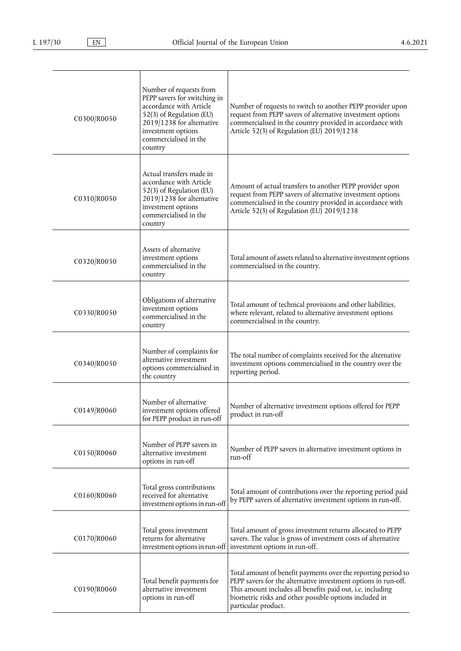| C0300/R0050 | Number of requests from<br>PEPP savers for switching in<br>accordance with Article<br>52(3) of Regulation (EU)<br>2019/1238 for alternative<br>investment options<br>commercialised in the<br>country | Number of requests to switch to another PEPP provider upon<br>request from PEPP savers of alternative investment options<br>commercialised in the country provided in accordance with<br>Article 52(3) of Regulation (EU) 2019/1238                                            |
|-------------|-------------------------------------------------------------------------------------------------------------------------------------------------------------------------------------------------------|--------------------------------------------------------------------------------------------------------------------------------------------------------------------------------------------------------------------------------------------------------------------------------|
| C0310/R0050 | Actual transfers made in<br>accordance with Article<br>52(3) of Regulation (EU)<br>2019/1238 for alternative<br>investment options<br>commercialised in the<br>country                                | Amount of actual transfers to another PEPP provider upon<br>request from PEPP savers of alternative investment options<br>commercialised in the country provided in accordance with<br>Article 52(3) of Regulation (EU) 2019/1238                                              |
| C0320/R0050 | Assets of alternative<br>investment options<br>commercialised in the<br>country                                                                                                                       | Total amount of assets related to alternative investment options<br>commercialised in the country.                                                                                                                                                                             |
| C0330/R0050 | Obligations of alternative<br>investment options<br>commercialised in the<br>country                                                                                                                  | Total amount of technical provisions and other liabilities,<br>where relevant, related to alternative investment options<br>commercialised in the country.                                                                                                                     |
| C0340/R0050 | Number of complaints for<br>alternative investment<br>options commercialised in<br>the country                                                                                                        | The total number of complaints received for the alternative<br>investment options commercialised in the country over the<br>reporting period.                                                                                                                                  |
| C0149/R0060 | Number of alternative<br>investment options offered<br>for PEPP product in run-off                                                                                                                    | Number of alternative investment options offered for PEPP<br>product in run-off                                                                                                                                                                                                |
| C0150/R0060 | Number of PEPP savers in<br>alternative investment<br>options in run-off                                                                                                                              | Number of PEPP savers in alternative investment options in<br>run-off                                                                                                                                                                                                          |
| C0160/R0060 | Total gross contributions<br>received for alternative<br>investment options in run-off                                                                                                                | Total amount of contributions over the reporting period paid<br>by PEPP savers of alternative investment options in run-off.                                                                                                                                                   |
| C0170/R0060 | Total gross investment<br>returns for alternative<br>investment options in run-off                                                                                                                    | Total amount of gross investment returns allocated to PEPP<br>savers. The value is gross of investment costs of alternative<br>investment options in run-off.                                                                                                                  |
| C0190/R0060 | Total benefit payments for<br>alternative investment<br>options in run-off                                                                                                                            | Total amount of benefit payments over the reporting period to<br>PEPP savers for the alternative investment options in run-off.<br>This amount includes all benefits paid out, i.e. including<br>biometric risks and other possible options included in<br>particular product. |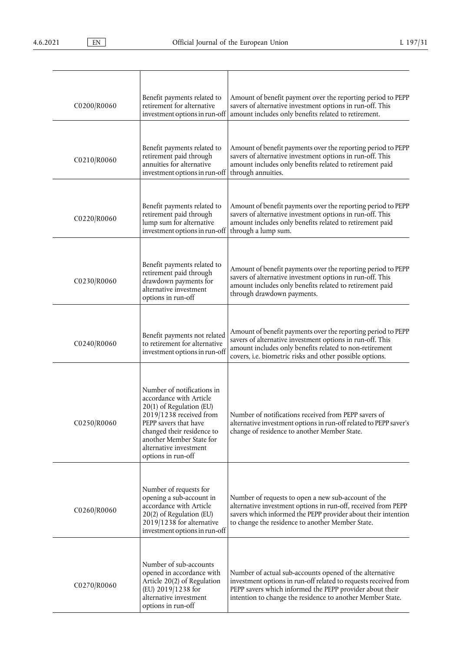| C0200/R0060 | Benefit payments related to<br>retirement for alternative                                                                                                                                                                                       | Amount of benefit payment over the reporting period to PEPP<br>savers of alternative investment options in run-off. This                                                                                                                             |
|-------------|-------------------------------------------------------------------------------------------------------------------------------------------------------------------------------------------------------------------------------------------------|------------------------------------------------------------------------------------------------------------------------------------------------------------------------------------------------------------------------------------------------------|
|             | investment options in run-off                                                                                                                                                                                                                   | amount includes only benefits related to retirement.                                                                                                                                                                                                 |
| C0210/R0060 | Benefit payments related to<br>retirement paid through<br>annuities for alternative<br>investment options in run-off                                                                                                                            | Amount of benefit payments over the reporting period to PEPP<br>savers of alternative investment options in run-off. This<br>amount includes only benefits related to retirement paid<br>through annuities.                                          |
|             |                                                                                                                                                                                                                                                 |                                                                                                                                                                                                                                                      |
| C0220/R0060 | Benefit payments related to<br>retirement paid through<br>lump sum for alternative<br>investment options in run-off                                                                                                                             | Amount of benefit payments over the reporting period to PEPP<br>savers of alternative investment options in run-off. This<br>amount includes only benefits related to retirement paid<br>through a lump sum.                                         |
| C0230/R0060 | Benefit payments related to<br>retirement paid through<br>drawdown payments for<br>alternative investment<br>options in run-off                                                                                                                 | Amount of benefit payments over the reporting period to PEPP<br>savers of alternative investment options in run-off. This<br>amount includes only benefits related to retirement paid<br>through drawdown payments.                                  |
| C0240/R0060 | Benefit payments not related<br>to retirement for alternative<br>investment options in run-off                                                                                                                                                  | Amount of benefit payments over the reporting period to PEPP<br>savers of alternative investment options in run-off. This<br>amount includes only benefits related to non-retirement<br>covers, i.e. biometric risks and other possible options.     |
| C0250/R0060 | Number of notifications in<br>accordance with Article<br>20(1) of Regulation (EU)<br>2019/1238 received from<br>PEPP savers that have<br>changed their residence to<br>another Member State for<br>alternative investment<br>options in run-off | Number of notifications received from PEPP savers of<br>alternative investment options in run-off related to PEPP saver's<br>change of residence to another Member State.                                                                            |
| C0260/R0060 | Number of requests for<br>opening a sub-account in<br>accordance with Article<br>20(2) of Regulation (EU)<br>2019/1238 for alternative<br>investment options in run-off                                                                         | Number of requests to open a new sub-account of the<br>alternative investment options in run-off, received from PEPP<br>savers which informed the PEPP provider about their intention<br>to change the residence to another Member State.            |
| C0270/R0060 | Number of sub-accounts<br>opened in accordance with<br>Article 20(2) of Regulation<br>(EU) 2019/1238 for<br>alternative investment<br>options in run-off                                                                                        | Number of actual sub-accounts opened of the alternative<br>investment options in run-off related to requests received from<br>PEPP savers which informed the PEPP provider about their<br>intention to change the residence to another Member State. |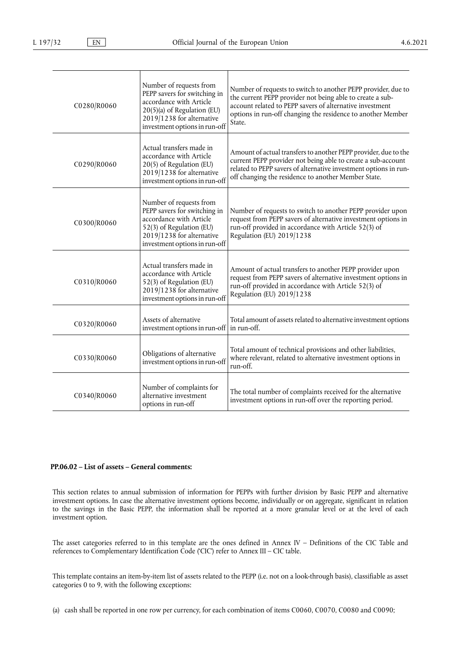| C0280/R0060 | Number of requests from<br>PEPP savers for switching in<br>accordance with Article<br>20(5)(a) of Regulation (EU)<br>2019/1238 for alternative<br>investment options in run-off | Number of requests to switch to another PEPP provider, due to<br>the current PEPP provider not being able to create a sub-<br>account related to PEPP savers of alternative investment<br>options in run-off changing the residence to another Member<br>State. |
|-------------|---------------------------------------------------------------------------------------------------------------------------------------------------------------------------------|-----------------------------------------------------------------------------------------------------------------------------------------------------------------------------------------------------------------------------------------------------------------|
| C0290/R0060 | Actual transfers made in<br>accordance with Article<br>20(5) of Regulation (EU)<br>2019/1238 for alternative<br>investment options in run-off                                   | Amount of actual transfers to another PEPP provider, due to the<br>current PEPP provider not being able to create a sub-account<br>related to PEPP savers of alternative investment options in run-<br>off changing the residence to another Member State.      |
| C0300/R0060 | Number of requests from<br>PEPP savers for switching in<br>accordance with Article<br>52(3) of Regulation (EU)<br>2019/1238 for alternative<br>investment options in run-off    | Number of requests to switch to another PEPP provider upon<br>request from PEPP savers of alternative investment options in<br>run-off provided in accordance with Article 52(3) of<br>Regulation (EU) 2019/1238                                                |
| C0310/R0060 | Actual transfers made in<br>accordance with Article<br>52(3) of Regulation (EU)<br>2019/1238 for alternative<br>investment options in run-off                                   | Amount of actual transfers to another PEPP provider upon<br>request from PEPP savers of alternative investment options in<br>run-off provided in accordance with Article 52(3) of<br>Regulation (EU) 2019/1238                                                  |
| C0320/R0060 | Assets of alternative<br>investment options in run-off   in run-off.                                                                                                            | Total amount of assets related to alternative investment options                                                                                                                                                                                                |
| C0330/R0060 | Obligations of alternative<br>investment options in run-off                                                                                                                     | Total amount of technical provisions and other liabilities,<br>where relevant, related to alternative investment options in<br>run-off.                                                                                                                         |
| C0340/R0060 | Number of complaints for<br>alternative investment<br>options in run-off                                                                                                        | The total number of complaints received for the alternative<br>investment options in run-off over the reporting period.                                                                                                                                         |

# **PP.06.02 – List of assets – General comments:**

This section relates to annual submission of information for PEPPs with further division by Basic PEPP and alternative investment options. In case the alternative investment options become, individually or on aggregate, significant in relation to the savings in the Basic PEPP, the information shall be reported at a more granular level or at the level of each investment option.

The asset categories referred to in this template are the ones defined in Annex IV – Definitions of the CIC Table and references to Complementary Identification Code ('CIC') refer to Annex III – CIC table.

This template contains an item-by-item list of assets related to the PEPP (i.e. not on a look-through basis), classifiable as asset categories 0 to 9, with the following exceptions:

(a) cash shall be reported in one row per currency, for each combination of items C0060, C0070, C0080 and C0090;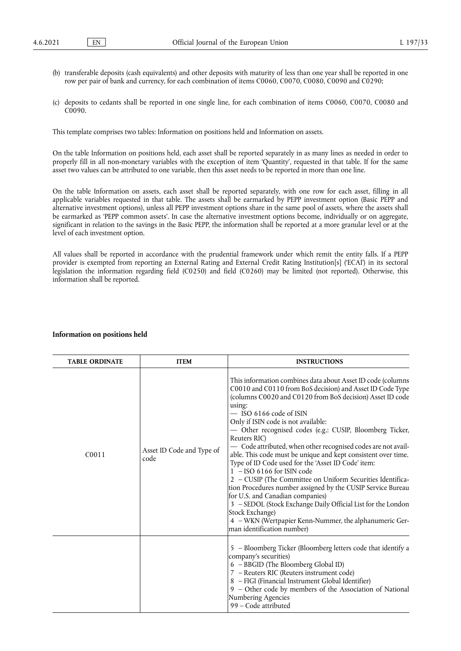- (b) transferable deposits (cash equivalents) and other deposits with maturity of less than one year shall be reported in one row per pair of bank and currency, for each combination of items C0060, C0070, C0080, C0090 and C0290;
- (c) deposits to cedants shall be reported in one single line, for each combination of items C0060, C0070, C0080 and C0090.

This template comprises two tables: Information on positions held and Information on assets.

On the table Information on positions held, each asset shall be reported separately in as many lines as needed in order to properly fill in all non-monetary variables with the exception of item 'Quantity', requested in that table. If for the same asset two values can be attributed to one variable, then this asset needs to be reported in more than one line.

On the table Information on assets, each asset shall be reported separately, with one row for each asset, filling in all applicable variables requested in that table. The assets shall be earmarked by PEPP investment option (Basic PEPP and alternative investment options), unless all PEPP investment options share in the same pool of assets, where the assets shall be earmarked as 'PEPP common assets'. In case the alternative investment options become, individually or on aggregate, significant in relation to the savings in the Basic PEPP, the information shall be reported at a more granular level or at the level of each investment option.

All values shall be reported in accordance with the prudential framework under which remit the entity falls. If a PEPP provider is exempted from reporting an External Rating and External Credit Rating Institution[s] ('ECAI') in its sectoral legislation the information regarding field (C0250) and field (C0260) may be limited (not reported). Otherwise, this information shall be reported.

| <b>TABLE ORDINATE</b> | <b>ITEM</b>                       | <b>INSTRUCTIONS</b>                                                                                                                                                                                                                                                                                                                                                                                                                                                                                                                                                                                                                                                                                                                                                                                                                                                                                                  |
|-----------------------|-----------------------------------|----------------------------------------------------------------------------------------------------------------------------------------------------------------------------------------------------------------------------------------------------------------------------------------------------------------------------------------------------------------------------------------------------------------------------------------------------------------------------------------------------------------------------------------------------------------------------------------------------------------------------------------------------------------------------------------------------------------------------------------------------------------------------------------------------------------------------------------------------------------------------------------------------------------------|
| C <sub>0</sub> 011    | Asset ID Code and Type of<br>code | This information combines data about Asset ID code (columns<br>C0010 and C0110 from BoS decision) and Asset ID Code Type<br>(columns C0020 and C0120 from BoS decision) Asset ID code<br>using:<br>$-$ ISO 6166 code of ISIN<br>Only if ISIN code is not available:<br>- Other recognised codes (e.g.: CUSIP, Bloomberg Ticker,<br>Reuters RIC)<br>- Code attributed, when other recognised codes are not avail-<br>able. This code must be unique and kept consistent over time.<br>Type of ID Code used for the 'Asset ID Code' item:<br>$1 - ISO\ 6166$ for ISIN code<br>2 - CUSIP (The Committee on Uniform Securities Identifica-<br>tion Procedures number assigned by the CUSIP Service Bureau<br>for U.S. and Canadian companies)<br>3 - SEDOL (Stock Exchange Daily Official List for the London<br>Stock Exchange)<br>4 - WKN (Wertpapier Kenn-Nummer, the alphanumeric Ger-<br>man identification number) |
|                       |                                   | 5 - Bloomberg Ticker (Bloomberg letters code that identify a<br>company's securities)<br>6 - BBGID (The Bloomberg Global ID)<br>7 - Reuters RIC (Reuters instrument code)<br>8 - FIGI (Financial Instrument Global Identifier)<br>9 - Other code by members of the Association of National<br>Numbering Agencies<br>99 - Code attributed                                                                                                                                                                                                                                                                                                                                                                                                                                                                                                                                                                             |

### **Information on positions held**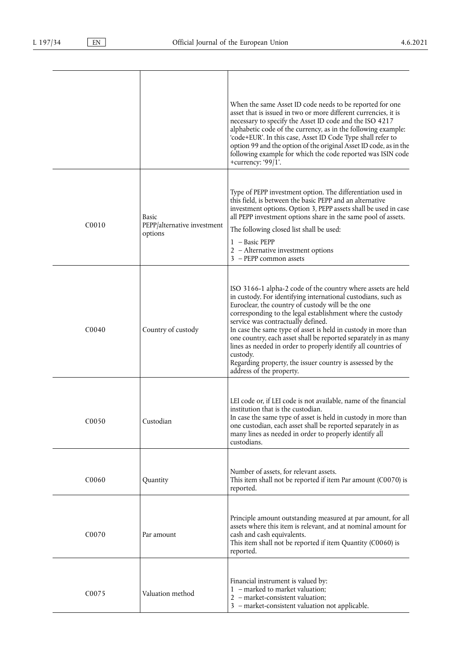|                                |                                                 | When the same Asset ID code needs to be reported for one<br>asset that is issued in two or more different currencies, it is<br>necessary to specify the Asset ID code and the ISO 4217<br>alphabetic code of the currency, as in the following example:<br>'code+EUR'. In this case, Asset ID Code Type shall refer to<br>option 99 and the option of the original Asset ID code, as in the<br>following example for which the code reported was ISIN code<br>+currency: '99 $ 1$ '.                                                                                                               |
|--------------------------------|-------------------------------------------------|----------------------------------------------------------------------------------------------------------------------------------------------------------------------------------------------------------------------------------------------------------------------------------------------------------------------------------------------------------------------------------------------------------------------------------------------------------------------------------------------------------------------------------------------------------------------------------------------------|
| CO <sub>010</sub>              | Basic<br>PEPP/alternative investment<br>options | Type of PEPP investment option. The differentiation used in<br>this field, is between the basic PEPP and an alternative<br>investment options. Option 3, PEPP assets shall be used in case<br>all PEPP investment options share in the same pool of assets.<br>The following closed list shall be used:<br>1 - Basic PEPP<br>2 - Alternative investment options<br>3 - PEPP common assets                                                                                                                                                                                                          |
| C <sub>0040</sub>              | Country of custody                              | ISO 3166-1 alpha-2 code of the country where assets are held<br>in custody. For identifying international custodians, such as<br>Euroclear, the country of custody will be the one<br>corresponding to the legal establishment where the custody<br>service was contractually defined.<br>In case the same type of asset is held in custody in more than<br>one country, each asset shall be reported separately in as many<br>lines as needed in order to properly identify all countries of<br>custody.<br>Regarding property, the issuer country is assessed by the<br>address of the property. |
| C0050                          | Custodian                                       | LEI code or, if LEI code is not available, name of the financial<br>institution that is the custodian.<br>In case the same type of asset is held in custody in more than<br>one custodian, each asset shall be reported separately in as<br>many lines as needed in order to properly identify all<br>custodians.                                                                                                                                                                                                                                                                                  |
| C0060                          | Quantity                                        | Number of assets, for relevant assets.<br>This item shall not be reported if item Par amount (C0070) is<br>reported.                                                                                                                                                                                                                                                                                                                                                                                                                                                                               |
| C <sub>0</sub> 07 <sub>0</sub> | Par amount                                      | Principle amount outstanding measured at par amount, for all<br>assets where this item is relevant, and at nominal amount for<br>cash and cash equivalents.<br>This item shall not be reported if item Quantity (C0060) is<br>reported.                                                                                                                                                                                                                                                                                                                                                            |
| C0075                          | Valuation method                                | Financial instrument is valued by:<br>1 - marked to market valuation;<br>2 - market-consistent valuation;<br>3 - market-consistent valuation not applicable.                                                                                                                                                                                                                                                                                                                                                                                                                                       |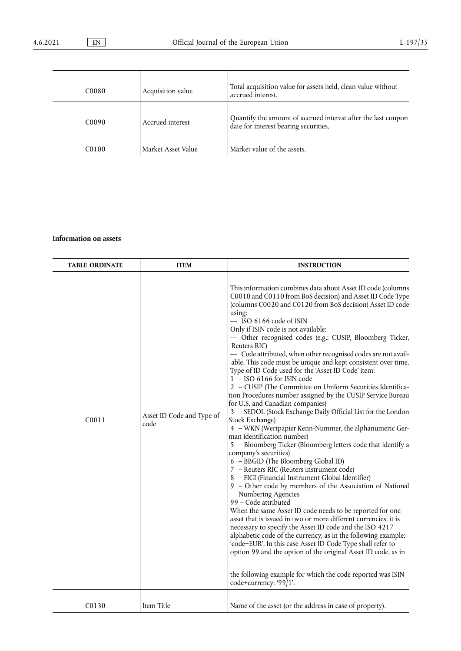| C <sub>0080</sub> | Acquisition value  | Total acquisition value for assets held, clean value without<br>accrued interest.                      |
|-------------------|--------------------|--------------------------------------------------------------------------------------------------------|
| C <sub>0090</sub> | Accrued interest   | Quantify the amount of accrued interest after the last coupon<br>date for interest bearing securities. |
| C <sub>0100</sub> | Market Asset Value | Market value of the assets.                                                                            |

# **Information on assets**

| <b>TABLE ORDINATE</b> | <b>ITEM</b>                       | <b>INSTRUCTION</b>                                                                                                                                                                                                                                                                                                                                                                                                                                                                                                                                                                                                                                                                                                                                                                                                                                                                                                                                                                                                                                                                                                                                                                                                                                                                                                                                                                                                                                                                                                                                                                                                                                                                                                                               |
|-----------------------|-----------------------------------|--------------------------------------------------------------------------------------------------------------------------------------------------------------------------------------------------------------------------------------------------------------------------------------------------------------------------------------------------------------------------------------------------------------------------------------------------------------------------------------------------------------------------------------------------------------------------------------------------------------------------------------------------------------------------------------------------------------------------------------------------------------------------------------------------------------------------------------------------------------------------------------------------------------------------------------------------------------------------------------------------------------------------------------------------------------------------------------------------------------------------------------------------------------------------------------------------------------------------------------------------------------------------------------------------------------------------------------------------------------------------------------------------------------------------------------------------------------------------------------------------------------------------------------------------------------------------------------------------------------------------------------------------------------------------------------------------------------------------------------------------|
| C0011                 | Asset ID Code and Type of<br>code | This information combines data about Asset ID code (columns<br>C0010 and C0110 from BoS decision) and Asset ID Code Type<br>(columns C0020 and C0120 from BoS decision) Asset ID code<br>using:<br>- ISO 6166 code of ISIN<br>Only if ISIN code is not available:<br>- Other recognised codes (e.g.: CUSIP, Bloomberg Ticker,<br>Reuters RIC)<br>- Code attributed, when other recognised codes are not avail-<br>able. This code must be unique and kept consistent over time.<br>Type of ID Code used for the 'Asset ID Code' item:<br>$1 - ISO\ 6166$ for ISIN code<br>2 - CUSIP (The Committee on Uniform Securities Identifica-<br>tion Procedures number assigned by the CUSIP Service Bureau<br>for U.S. and Canadian companies)<br>3 - SEDOL (Stock Exchange Daily Official List for the London<br>Stock Exchange)<br>4 - WKN (Wertpapier Kenn-Nummer, the alphanumeric Ger-<br>man identification number)<br>5 - Bloomberg Ticker (Bloomberg letters code that identify a<br>company's securities)<br>6 - BBGID (The Bloomberg Global ID)<br>7 - Reuters RIC (Reuters instrument code)<br>8 - FIGI (Financial Instrument Global Identifier)<br>9 - Other code by members of the Association of National<br>Numbering Agencies<br>99 - Code attributed<br>When the same Asset ID code needs to be reported for one<br>asset that is issued in two or more different currencies, it is<br>necessary to specify the Asset ID code and the ISO 4217<br>alphabetic code of the currency, as in the following example:<br>'code+EUR'. In this case Asset ID Code Type shall refer to<br>option 99 and the option of the original Asset ID code, as in<br>the following example for which the code reported was ISIN<br>code+currency: '99/1'. |
| C <sub>01</sub> 30    | Item Title                        | Name of the asset (or the address in case of property).                                                                                                                                                                                                                                                                                                                                                                                                                                                                                                                                                                                                                                                                                                                                                                                                                                                                                                                                                                                                                                                                                                                                                                                                                                                                                                                                                                                                                                                                                                                                                                                                                                                                                          |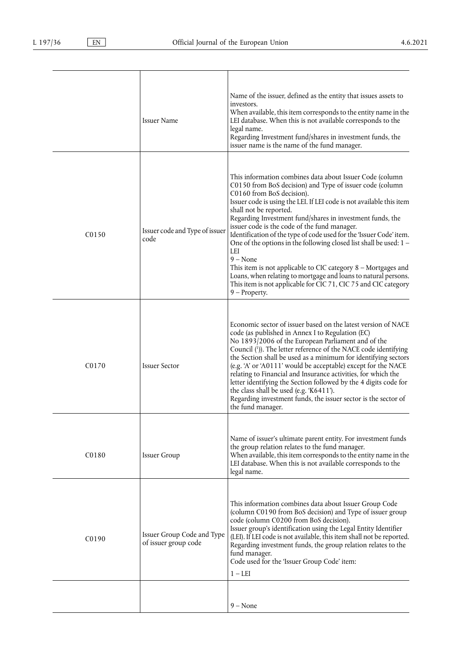<span id="page-29-0"></span>

|                   | <b>Issuer Name</b>                                 | Name of the issuer, defined as the entity that issues assets to<br>investors.<br>When available, this item corresponds to the entity name in the<br>LEI database. When this is not available corresponds to the<br>legal name.<br>Regarding Investment fund/shares in investment funds, the<br>issuer name is the name of the fund manager.                                                                                                                                                                                                                                                                                                                                                                                                                   |
|-------------------|----------------------------------------------------|---------------------------------------------------------------------------------------------------------------------------------------------------------------------------------------------------------------------------------------------------------------------------------------------------------------------------------------------------------------------------------------------------------------------------------------------------------------------------------------------------------------------------------------------------------------------------------------------------------------------------------------------------------------------------------------------------------------------------------------------------------------|
| C <sub>0150</sub> | Issuer code and Type of issuer<br>code             | This information combines data about Issuer Code (column<br>C0150 from BoS decision) and Type of issuer code (column<br>C0160 from BoS decision).<br>Issuer code is using the LEI. If LEI code is not available this item<br>shall not be reported.<br>Regarding Investment fund/shares in investment funds, the<br>issuer code is the code of the fund manager.<br>Identification of the type of code used for the 'Issuer Code' item.<br>One of the options in the following closed list shall be used: 1 -<br>LEI<br>$9 - None$<br>This item is not applicable to CIC category $8$ – Mortgages and<br>Loans, when relating to mortgage and loans to natural persons.<br>This item is not applicable for CIC 71, CIC 75 and CIC category<br>$9$ – Property. |
| C <sub>0170</sub> | <b>Issuer Sector</b>                               | Economic sector of issuer based on the latest version of NACE<br>code (as published in Annex I to Regulation (EC)<br>No 1893/2006 of the European Parliament and of the<br>Council (1)). The letter reference of the NACE code identifying<br>the Section shall be used as a minimum for identifying sectors<br>(e.g. 'A' or 'A0111' would be acceptable) except for the NACE<br>relating to Financial and Insurance activities, for which the<br>letter identifying the Section followed by the 4 digits code for<br>the class shall be used (e.g. 'K6411').<br>Regarding investment funds, the issuer sector is the sector of<br>the fund manager.                                                                                                          |
| C0180             | <b>Issuer Group</b>                                | Name of issuer's ultimate parent entity. For investment funds<br>the group relation relates to the fund manager.<br>When available, this item corresponds to the entity name in the<br>LEI database. When this is not available corresponds to the<br>legal name.                                                                                                                                                                                                                                                                                                                                                                                                                                                                                             |
| C <sub>0190</sub> | Issuer Group Code and Type<br>of issuer group code | This information combines data about Issuer Group Code<br>(column C0190 from BoS decision) and Type of issuer group<br>code (column C0200 from BoS decision).<br>Issuer group's identification using the Legal Entity Identifier<br>(LEI). If LEI code is not available, this item shall not be reported.<br>Regarding investment funds, the group relation relates to the<br>fund manager.<br>Code used for the 'Issuer Group Code' item:<br>$1 - LEI$                                                                                                                                                                                                                                                                                                       |
|                   |                                                    | $9 - None$                                                                                                                                                                                                                                                                                                                                                                                                                                                                                                                                                                                                                                                                                                                                                    |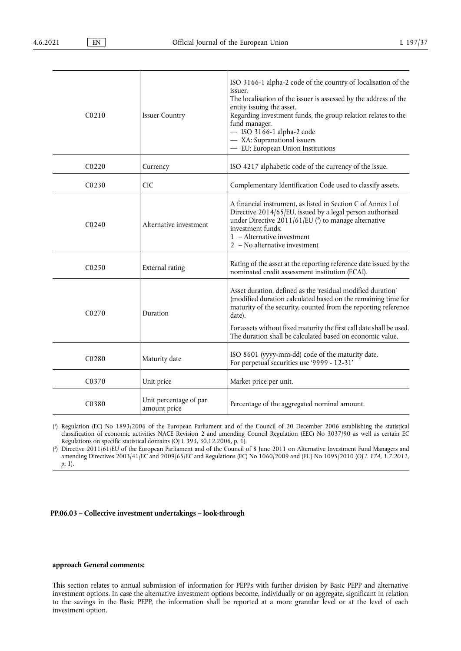<span id="page-30-2"></span>

| CO <sub>210</sub>  | <b>Issuer Country</b>                  | ISO 3166-1 alpha-2 code of the country of localisation of the<br>issuer.<br>The localisation of the issuer is assessed by the address of the<br>entity issuing the asset.<br>Regarding investment funds, the group relation relates to the<br>fund manager.<br>- ISO 3166-1 alpha-2 code<br>- XA: Supranational issuers<br>- EU: European Union Institutions |
|--------------------|----------------------------------------|--------------------------------------------------------------------------------------------------------------------------------------------------------------------------------------------------------------------------------------------------------------------------------------------------------------------------------------------------------------|
| C0220              | Currency                               | ISO 4217 alphabetic code of the currency of the issue.                                                                                                                                                                                                                                                                                                       |
| CO <sub>230</sub>  | <b>CIC</b>                             | Complementary Identification Code used to classify assets.                                                                                                                                                                                                                                                                                                   |
| C <sub>0240</sub>  | Alternative investment                 | A financial instrument, as listed in Section C of Annex I of<br>Directive 2014/65/EU, issued by a legal person authorised<br>under Directive $2011/61/EU$ (?) to manage alternative<br>investment funds:<br>$1 -$ Alternative investment<br>$2 - No$ alternative investment                                                                                  |
| C <sub>0250</sub>  | External rating                        | Rating of the asset at the reporting reference date issued by the<br>nominated credit assessment institution (ECAI).                                                                                                                                                                                                                                         |
| C <sub>0</sub> 270 | Duration                               | Asset duration, defined as the 'residual modified duration'<br>(modified duration calculated based on the remaining time for<br>maturity of the security, counted from the reporting reference<br>date).<br>For assets without fixed maturity the first call date shall be used.<br>The duration shall be calculated based on economic value.                |
| C0280              | Maturity date                          | ISO 8601 (yyyy-mm-dd) code of the maturity date.<br>For perpetual securities use '9999 - 12-31'                                                                                                                                                                                                                                                              |
| C0370              | Unit price                             | Market price per unit.                                                                                                                                                                                                                                                                                                                                       |
| C <sub>0</sub> 380 | Unit percentage of par<br>amount price | Percentage of the aggregated nominal amount.                                                                                                                                                                                                                                                                                                                 |

<span id="page-30-0"></span>[\(](#page-29-0) 1 ) Regulation (EC) No 1893/2006 of the European Parliament and of the Council of 20 December 2006 establishing the statistical classification of economic activities NACE Revision 2 and amending Council Regulation (EEC) No 3037/90 as well as certain EC Regulations on specific statistical domains (OJ L 393, 30.12.2006, p. 1).

<span id="page-30-1"></span>[\(](#page-30-2) 2 ) Directive 2011/61/EU of the European Parliament and of the Council of 8 June 2011 on Alternative Investment Fund Managers and amending Directives 2003/41/EC and 2009/65/EC and Regulations (EC) No 1060/2009 and (EU) No 1095/2010 (*OJ L 174, 1.7.2011, p. 1*).

# **PP.06.03 – Collective investment undertakings – look-through**

# **approach General comments:**

This section relates to annual submission of information for PEPPs with further division by Basic PEPP and alternative investment options. In case the alternative investment options become, individually or on aggregate, significant in relation to the savings in the Basic PEPP, the information shall be reported at a more granular level or at the level of each investment option.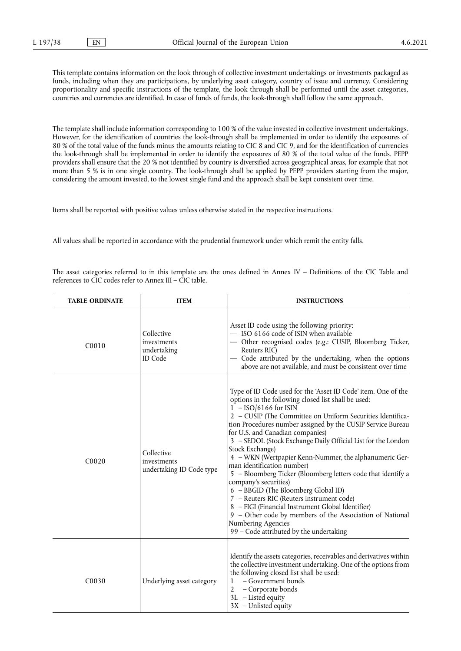This template contains information on the look through of collective investment undertakings or investments packaged as funds, including when they are participations, by underlying asset category, country of issue and currency. Considering proportionality and specific instructions of the template, the look through shall be performed until the asset categories, countries and currencies are identified. In case of funds of funds, the look-through shall follow the same approach.

The template shall include information corresponding to 100 % of the value invested in collective investment undertakings. However, for the identification of countries the look-through shall be implemented in order to identify the exposures of 80 % of the total value of the funds minus the amounts relating to CIC 8 and CIC 9, and for the identification of currencies the look-through shall be implemented in order to identify the exposures of 80 % of the total value of the funds. PEPP providers shall ensure that the 20 % not identified by country is diversified across geographical areas, for example that not more than 5 % is in one single country. The look-through shall be applied by PEPP providers starting from the major, considering the amount invested, to the lowest single fund and the approach shall be kept consistent over time.

Items shall be reported with positive values unless otherwise stated in the respective instructions.

All values shall be reported in accordance with the prudential framework under which remit the entity falls.

The asset categories referred to in this template are the ones defined in Annex IV – Definitions of the CIC Table and references to CIC codes refer to Annex III – CIC table.

| <b>TABLE ORDINATE</b> | <b>ITEM</b>                                                | <b>INSTRUCTIONS</b>                                                                                                                                                                                                                                                                                                                                                                                                                                                                                                                                                                                                                                                                                                                                                                                                                                        |
|-----------------------|------------------------------------------------------------|------------------------------------------------------------------------------------------------------------------------------------------------------------------------------------------------------------------------------------------------------------------------------------------------------------------------------------------------------------------------------------------------------------------------------------------------------------------------------------------------------------------------------------------------------------------------------------------------------------------------------------------------------------------------------------------------------------------------------------------------------------------------------------------------------------------------------------------------------------|
| C0010                 | Collective<br>investments<br>undertaking<br><b>ID</b> Code | Asset ID code using the following priority:<br>- ISO 6166 code of ISIN when available<br>- Other recognised codes (e.g.: CUSIP, Bloomberg Ticker,<br>Reuters RIC)<br>- Code attributed by the undertaking, when the options<br>above are not available, and must be consistent over time                                                                                                                                                                                                                                                                                                                                                                                                                                                                                                                                                                   |
| C <sub>0020</sub>     | Collective<br>investments<br>undertaking ID Code type      | Type of ID Code used for the 'Asset ID Code' item. One of the<br>options in the following closed list shall be used:<br>$1 - ISO/6166$ for ISIN<br>2 - CUSIP (The Committee on Uniform Securities Identifica-<br>tion Procedures number assigned by the CUSIP Service Bureau<br>for U.S. and Canadian companies)<br>3 - SEDOL (Stock Exchange Daily Official List for the London<br>Stock Exchange)<br>4 - WKN (Wertpapier Kenn-Nummer, the alphanumeric Ger-<br>man identification number)<br>5 - Bloomberg Ticker (Bloomberg letters code that identify a<br>company's securities)<br>6 - BBGID (The Bloomberg Global ID)<br>7 - Reuters RIC (Reuters instrument code)<br>8 - FIGI (Financial Instrument Global Identifier)<br>9 - Other code by members of the Association of National<br>Numbering Agencies<br>99 - Code attributed by the undertaking |
| C <sub>00</sub> 30    | Underlying asset category                                  | Identify the assets categories, receivables and derivatives within<br>the collective investment undertaking. One of the options from<br>the following closed list shall be used:<br>– Government bonds<br>1<br>2<br>- Corporate bonds<br>3L - Listed equity<br>3X - Unlisted equity                                                                                                                                                                                                                                                                                                                                                                                                                                                                                                                                                                        |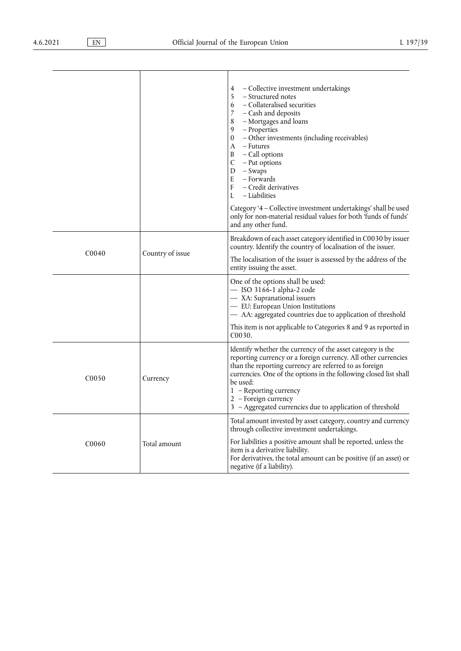|                   |                  | - Collective investment undertakings<br>4<br>5<br>- Structured notes<br>- Collateralised securities<br>6<br>$\overline{7}$<br>- Cash and deposits<br>8<br>- Mortgages and loans<br>9<br>- Properties<br>$\boldsymbol{0}$<br>- Other investments (including receivables)<br>- Futures<br>A<br>B<br>- Call options<br>C<br>- Put options<br>D<br>- Swaps<br>E<br>– Forwards<br>F<br>- Credit derivatives<br>– Liabilities<br>L<br>Category '4 - Collective investment undertakings' shall be used<br>only for non-material residual values for both 'funds of funds'<br>and any other fund. |
|-------------------|------------------|-------------------------------------------------------------------------------------------------------------------------------------------------------------------------------------------------------------------------------------------------------------------------------------------------------------------------------------------------------------------------------------------------------------------------------------------------------------------------------------------------------------------------------------------------------------------------------------------|
| C <sub>0040</sub> | Country of issue | Breakdown of each asset category identified in C0030 by issuer<br>country. Identify the country of localisation of the issuer.<br>The localisation of the issuer is assessed by the address of the<br>entity issuing the asset.                                                                                                                                                                                                                                                                                                                                                           |
|                   |                  | One of the options shall be used:<br>$-$ ISO 3166-1 alpha-2 code<br>- XA: Supranational issuers<br>- EU: European Union Institutions<br>- AA: aggregated countries due to application of threshold<br>This item is not applicable to Categories 8 and 9 as reported in<br>C <sub>00</sub> 30.                                                                                                                                                                                                                                                                                             |
| C <sub>0050</sub> | Currency         | Identify whether the currency of the asset category is the<br>reporting currency or a foreign currency. All other currencies<br>than the reporting currency are referred to as foreign<br>currencies. One of the options in the following closed list shall<br>be used:<br>1 - Reporting currency<br>2 - Foreign currency<br>3 - Aggregated currencies due to application of threshold                                                                                                                                                                                                    |
| C <sub>0060</sub> | Total amount     | Total amount invested by asset category, country and currency<br>through collective investment undertakings.<br>For liabilities a positive amount shall be reported, unless the<br>item is a derivative liability.<br>For derivatives, the total amount can be positive (if an asset) or<br>negative (if a liability).                                                                                                                                                                                                                                                                    |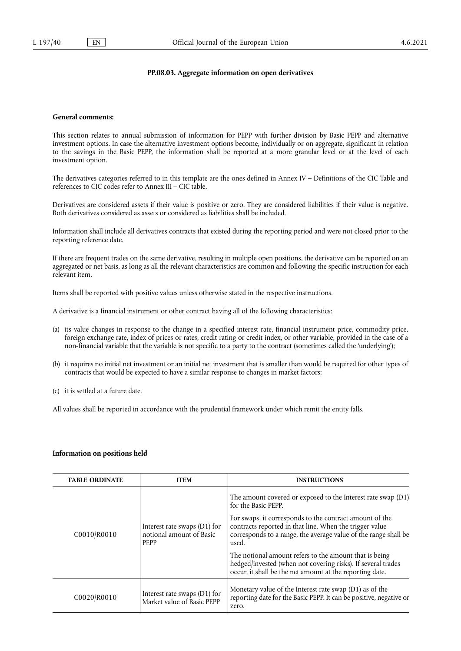### **PP.08.03. Aggregate information on open derivatives**

### **General comments:**

This section relates to annual submission of information for PEPP with further division by Basic PEPP and alternative investment options. In case the alternative investment options become, individually or on aggregate, significant in relation to the savings in the Basic PEPP, the information shall be reported at a more granular level or at the level of each investment option.

The derivatives categories referred to in this template are the ones defined in Annex IV – Definitions of the CIC Table and references to CIC codes refer to Annex III – CIC table.

Derivatives are considered assets if their value is positive or zero. They are considered liabilities if their value is negative. Both derivatives considered as assets or considered as liabilities shall be included.

Information shall include all derivatives contracts that existed during the reporting period and were not closed prior to the reporting reference date.

If there are frequent trades on the same derivative, resulting in multiple open positions, the derivative can be reported on an aggregated or net basis, as long as all the relevant characteristics are common and following the specific instruction for each relevant item.

Items shall be reported with positive values unless otherwise stated in the respective instructions.

A derivative is a financial instrument or other contract having all of the following characteristics:

- (a) its value changes in response to the change in a specified interest rate, financial instrument price, commodity price, foreign exchange rate, index of prices or rates, credit rating or credit index, or other variable, provided in the case of a non-financial variable that the variable is not specific to a party to the contract (sometimes called the 'underlying');
- (b) it requires no initial net investment or an initial net investment that is smaller than would be required for other types of contracts that would be expected to have a similar response to changes in market factors;
- (c) it is settled at a future date.

All values shall be reported in accordance with the prudential framework under which remit the entity falls.

### **Information on positions held**

| <b>TABLE ORDINATE</b> | <b>ITEM</b>                                                             | <b>INSTRUCTIONS</b>                                                                                                                                                                                                                                                                                                                                                                                                                                                         |
|-----------------------|-------------------------------------------------------------------------|-----------------------------------------------------------------------------------------------------------------------------------------------------------------------------------------------------------------------------------------------------------------------------------------------------------------------------------------------------------------------------------------------------------------------------------------------------------------------------|
| C0010/R0010           | Interest rate swaps (D1) for<br>notional amount of Basic<br><b>PEPP</b> | The amount covered or exposed to the Interest rate swap (D1)<br>for the Basic PEPP.<br>For swaps, it corresponds to the contract amount of the<br>contracts reported in that line. When the trigger value<br>corresponds to a range, the average value of the range shall be<br>used.<br>The notional amount refers to the amount that is being<br>hedged/invested (when not covering risks). If several trades<br>occur, it shall be the net amount at the reporting date. |
| C0020/R0010           | Interest rate swaps (D1) for<br>Market value of Basic PEPP              | Monetary value of the Interest rate swap $(D1)$ as of the<br>reporting date for the Basic PEPP. It can be positive, negative or<br>zero.                                                                                                                                                                                                                                                                                                                                    |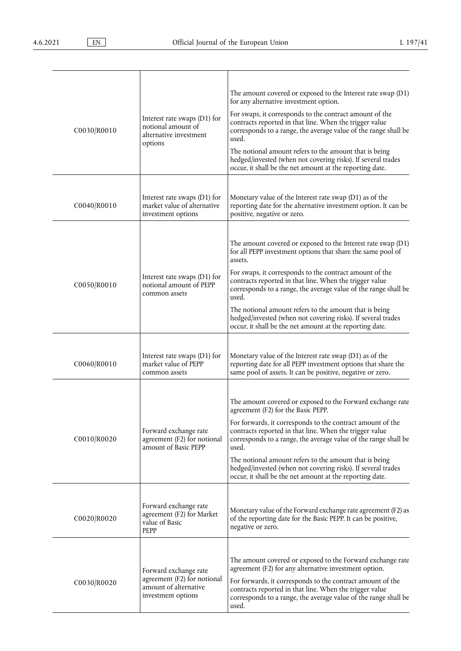| C0030/R0010 | Interest rate swaps (D1) for<br>notional amount of<br>alternative investment<br>options             | The amount covered or exposed to the Interest rate swap (D1)<br>for any alternative investment option.<br>For swaps, it corresponds to the contract amount of the<br>contracts reported in that line. When the trigger value<br>corresponds to a range, the average value of the range shall be<br>used.<br>The notional amount refers to the amount that is being<br>hedged/invested (when not covering risks). If several trades<br>occur, it shall be the net amount at the reporting date.                                 |
|-------------|-----------------------------------------------------------------------------------------------------|--------------------------------------------------------------------------------------------------------------------------------------------------------------------------------------------------------------------------------------------------------------------------------------------------------------------------------------------------------------------------------------------------------------------------------------------------------------------------------------------------------------------------------|
| C0040/R0010 | Interest rate swaps (D1) for<br>market value of alternative<br>investment options                   | Monetary value of the Interest rate swap (D1) as of the<br>reporting date for the alternative investment option. It can be<br>positive, negative or zero.                                                                                                                                                                                                                                                                                                                                                                      |
| C0050/R0010 | Interest rate swaps $(D1)$ for<br>notional amount of PEPP<br>common assets                          | The amount covered or exposed to the Interest rate swap (D1)<br>for all PEPP investment options that share the same pool of<br>assets.<br>For swaps, it corresponds to the contract amount of the<br>contracts reported in that line. When the trigger value<br>corresponds to a range, the average value of the range shall be<br>used.<br>The notional amount refers to the amount that is being<br>hedged/invested (when not covering risks). If several trades<br>occur, it shall be the net amount at the reporting date. |
| C0060/R0010 | Interest rate swaps $(D1)$ for<br>market value of PEPP<br>common assets                             | Monetary value of the Interest rate swap (D1) as of the<br>reporting date for all PEPP investment options that share the<br>same pool of assets. It can be positive, negative or zero.                                                                                                                                                                                                                                                                                                                                         |
| C0010/R0020 | Forward exchange rate<br>agreement (F2) for notional<br>amount of Basic PEPP                        | The amount covered or exposed to the Forward exchange rate<br>agreement (F2) for the Basic PEPP.<br>For forwards, it corresponds to the contract amount of the<br>contracts reported in that line. When the trigger value<br>corresponds to a range, the average value of the range shall be<br>used.<br>The notional amount refers to the amount that is being<br>hedged/invested (when not covering risks). If several trades<br>occur, it shall be the net amount at the reporting date.                                    |
| C0020/R0020 | Forward exchange rate<br>agreement (F2) for Market<br>value of Basic<br>PEPP                        | Monetary value of the Forward exchange rate agreement (F2) as<br>of the reporting date for the Basic PEPP. It can be positive,<br>negative or zero.                                                                                                                                                                                                                                                                                                                                                                            |
| C0030/R0020 | Forward exchange rate<br>agreement (F2) for notional<br>amount of alternative<br>investment options | The amount covered or exposed to the Forward exchange rate<br>agreement (F2) for any alternative investment option.<br>For forwards, it corresponds to the contract amount of the<br>contracts reported in that line. When the trigger value<br>corresponds to a range, the average value of the range shall be<br>used.                                                                                                                                                                                                       |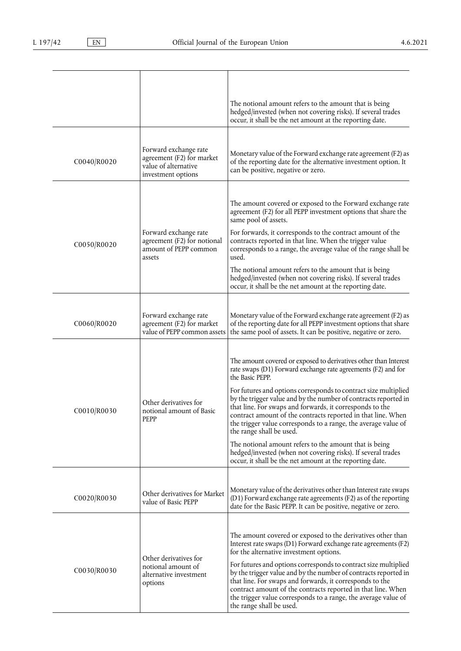|             |                                                                                                  | The notional amount refers to the amount that is being<br>hedged/invested (when not covering risks). If several trades<br>occur, it shall be the net amount at the reporting date.                                                                                                                                                                                                                                                                                                                                                                                                                                                                                                                         |
|-------------|--------------------------------------------------------------------------------------------------|------------------------------------------------------------------------------------------------------------------------------------------------------------------------------------------------------------------------------------------------------------------------------------------------------------------------------------------------------------------------------------------------------------------------------------------------------------------------------------------------------------------------------------------------------------------------------------------------------------------------------------------------------------------------------------------------------------|
| C0040/R0020 | Forward exchange rate<br>agreement (F2) for market<br>value of alternative<br>investment options | Monetary value of the Forward exchange rate agreement (F2) as<br>of the reporting date for the alternative investment option. It<br>can be positive, negative or zero.                                                                                                                                                                                                                                                                                                                                                                                                                                                                                                                                     |
| C0050/R0020 | Forward exchange rate<br>agreement (F2) for notional<br>amount of PEPP common<br>assets          | The amount covered or exposed to the Forward exchange rate<br>agreement (F2) for all PEPP investment options that share the<br>same pool of assets.<br>For forwards, it corresponds to the contract amount of the<br>contracts reported in that line. When the trigger value<br>corresponds to a range, the average value of the range shall be<br>used.<br>The notional amount refers to the amount that is being<br>hedged/invested (when not covering risks). If several trades<br>occur, it shall be the net amount at the reporting date.                                                                                                                                                             |
| C0060/R0020 | Forward exchange rate<br>agreement (F2) for market<br>value of PEPP common assets                | Monetary value of the Forward exchange rate agreement (F2) as<br>of the reporting date for all PEPP investment options that share<br>the same pool of assets. It can be positive, negative or zero.                                                                                                                                                                                                                                                                                                                                                                                                                                                                                                        |
| C0010/R0030 | Other derivatives for<br>notional amount of Basic<br>PEPP                                        | The amount covered or exposed to derivatives other than Interest<br>rate swaps (D1) Forward exchange rate agreements (F2) and for<br>the Basic PEPP.<br>For futures and options corresponds to contract size multiplied<br>by the trigger value and by the number of contracts reported in<br>that line. For swaps and forwards, it corresponds to the<br>contract amount of the contracts reported in that line. When<br>the trigger value corresponds to a range, the average value of<br>the range shall be used.<br>The notional amount refers to the amount that is being<br>hedged/invested (when not covering risks). If several trades<br>occur, it shall be the net amount at the reporting date. |
| C0020/R0030 | Other derivatives for Market<br>value of Basic PEPP                                              | Monetary value of the derivatives other than Interest rate swaps<br>(D1) Forward exchange rate agreements (F2) as of the reporting<br>date for the Basic PEPP. It can be positive, negative or zero.                                                                                                                                                                                                                                                                                                                                                                                                                                                                                                       |
| C0030/R0030 | Other derivatives for<br>notional amount of<br>alternative investment<br>options                 | The amount covered or exposed to the derivatives other than<br>Interest rate swaps (D1) Forward exchange rate agreements (F2)<br>for the alternative investment options.<br>For futures and options corresponds to contract size multiplied<br>by the trigger value and by the number of contracts reported in<br>that line. For swaps and forwards, it corresponds to the<br>contract amount of the contracts reported in that line. When<br>the trigger value corresponds to a range, the average value of<br>the range shall be used.                                                                                                                                                                   |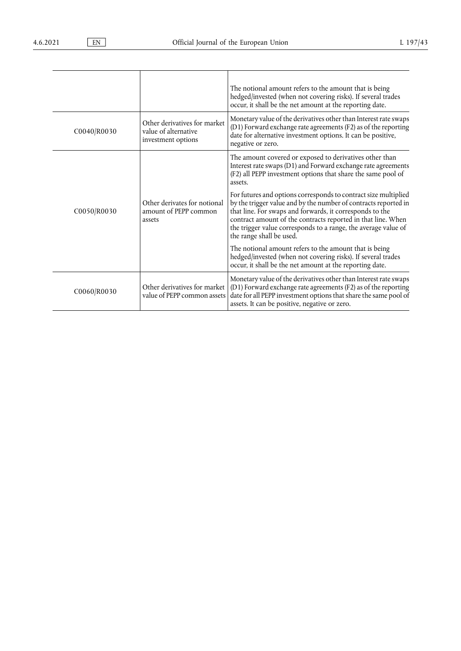|             |                                                                            | The notional amount refers to the amount that is being<br>hedged/invested (when not covering risks). If several trades<br>occur, it shall be the net amount at the reporting date.                                                                                                                                                                           |  |  |  |
|-------------|----------------------------------------------------------------------------|--------------------------------------------------------------------------------------------------------------------------------------------------------------------------------------------------------------------------------------------------------------------------------------------------------------------------------------------------------------|--|--|--|
| C0040/R0030 | Other derivatives for market<br>value of alternative<br>investment options | Monetary value of the derivatives other than Interest rate swaps<br>(D1) Forward exchange rate agreements (F2) as of the reporting<br>date for alternative investment options. It can be positive,<br>negative or zero.                                                                                                                                      |  |  |  |
|             |                                                                            | The amount covered or exposed to derivatives other than<br>Interest rate swaps (D1) and Forward exchange rate agreements<br>(F2) all PEPP investment options that share the same pool of<br>assets.                                                                                                                                                          |  |  |  |
| C0050/R0030 | Other derivates for notional<br>amount of PEPP common<br>assets            | For futures and options corresponds to contract size multiplied<br>by the trigger value and by the number of contracts reported in<br>that line. For swaps and forwards, it corresponds to the<br>contract amount of the contracts reported in that line. When<br>the trigger value corresponds to a range, the average value of<br>the range shall be used. |  |  |  |
|             |                                                                            | The notional amount refers to the amount that is being<br>hedged/invested (when not covering risks). If several trades<br>occur, it shall be the net amount at the reporting date.                                                                                                                                                                           |  |  |  |
| C0060/R0030 | Other derivatives for market<br>value of PEPP common assets                | Monetary value of the derivatives other than Interest rate swaps<br>(D1) Forward exchange rate agreements (F2) as of the reporting<br>date for all PEPP investment options that share the same pool of<br>assets. It can be positive, negative or zero.                                                                                                      |  |  |  |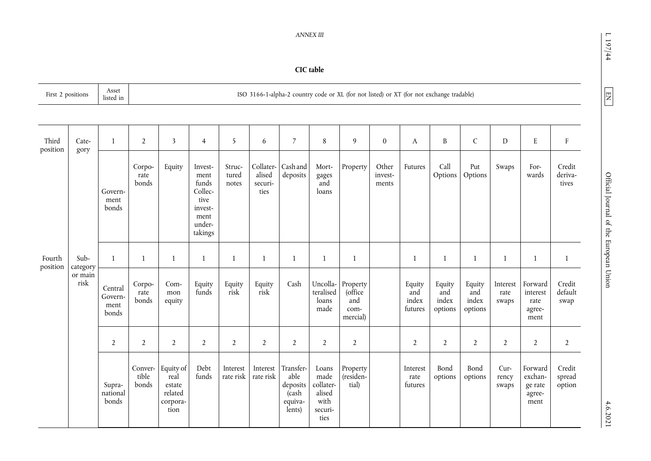# $197/44$

| ź<br>r |
|--------|
|        |
|        |
| ۰.     |
|        |
|        |

*ANNEX III* 

**CIC table** 

| Asset<br>First 2 positions<br>listed in |                                     |                                     |                           |                                                            |                                                                                     | ISO 3166-1-alpha-2 country code or XL (for not listed) or XT (for not exchange tradable) |                                        |                                                             |                                                                 |                                                 |                           |                                   |                                   |                                   |                           |                                                 |                            |
|-----------------------------------------|-------------------------------------|-------------------------------------|---------------------------|------------------------------------------------------------|-------------------------------------------------------------------------------------|------------------------------------------------------------------------------------------|----------------------------------------|-------------------------------------------------------------|-----------------------------------------------------------------|-------------------------------------------------|---------------------------|-----------------------------------|-----------------------------------|-----------------------------------|---------------------------|-------------------------------------------------|----------------------------|
|                                         |                                     |                                     |                           |                                                            |                                                                                     |                                                                                          |                                        |                                                             |                                                                 |                                                 |                           |                                   |                                   |                                   |                           |                                                 |                            |
| Third<br>position                       | Cate-<br>gory                       | $\mathbf{1}$                        | $\overline{2}$            | $\overline{\mathbf{3}}$                                    | $\overline{4}$                                                                      | 5                                                                                        | 6                                      | $\overline{7}$                                              | 8                                                               | 9                                               | $\boldsymbol{0}$          | A                                 | B                                 | $\mathsf{C}$                      | $\mathbf D$               | ${\bf E}$                                       | $\rm F$                    |
|                                         |                                     | Govern-<br>ment<br>bonds            | Corpo-<br>rate<br>bonds   | Equity                                                     | Invest-<br>ment<br>funds<br>Collec-<br>tive<br>invest-<br>ment<br>under-<br>takings | Struc-<br>tured<br>notes                                                                 | Collater-<br>alised<br>securi-<br>ties | Cashand<br>deposits                                         | Mort-<br>gages<br>and<br>loans                                  | Property                                        | Other<br>invest-<br>ments | Futures                           | Call<br>Options                   | Put<br>Options                    | Swaps                     | For-<br>wards                                   | Credit<br>deriva-<br>tives |
| Fourth<br>position                      | Sub-<br>category<br>or main<br>risk | $\mathbf{1}$                        | $\mathbf{1}$              | $\mathbf{1}$                                               | $\mathbf{1}$                                                                        | $\mathbf{1}$                                                                             | $\mathbf{1}$                           | $\mathbf{1}$                                                | 1                                                               | 1                                               |                           | 1                                 | $\mathbf{1}$                      | $\mathbf{1}$                      | $\mathbf{1}$              | 1                                               | $\mathbf{1}$               |
|                                         |                                     | Central<br>Govern-<br>ment<br>bonds | Corpo-<br>rate<br>bonds   | Com-<br>mon<br>equity                                      | Equity<br>funds                                                                     | Equity<br>risk                                                                           | Equity<br>risk                         | Cash                                                        | Uncolla-<br>teralised<br>loans<br>made                          | Property<br>(office)<br>and<br>com-<br>mercial) |                           | Equity<br>and<br>index<br>futures | Equity<br>and<br>index<br>options | Equity<br>and<br>index<br>options | Interest<br>rate<br>swaps | Forward<br>interest<br>rate<br>agree-<br>ment   | Credit<br>default<br>swap  |
|                                         |                                     |                                     |                           | $\overline{2}$                                             | $\overline{2}$                                                                      | $\overline{2}$                                                                           | $\overline{2}$                         | $\overline{2}$                                              | $\overline{2}$                                                  | $\overline{2}$                                  | $\overline{2}$            | $\overline{2}$                    |                                   | $\overline{2}$                    | $\overline{2}$            | $\overline{2}$                                  | $\overline{2}$             |
|                                         |                                     | Supra-<br>national<br>bonds         | Conver-<br>tible<br>bonds | Equity of<br>real<br>estate<br>related<br>corpora-<br>tion | Debt<br>funds                                                                       | Interest<br>rate risk                                                                    | Interest<br>rate risk                  | Transfer-<br>able<br>deposits<br>(cash<br>equiva-<br>lents) | Loans<br>made<br>collater-<br>alised<br>with<br>securi-<br>ties | Property<br>(residen-<br>tial)                  |                           | Interest<br>rate<br>futures       | Bond<br>options                   | Bond<br>options                   | Cur-<br>rency<br>swaps    | Forward<br>exchan-<br>ge rate<br>agree-<br>ment | Credit<br>spread<br>option |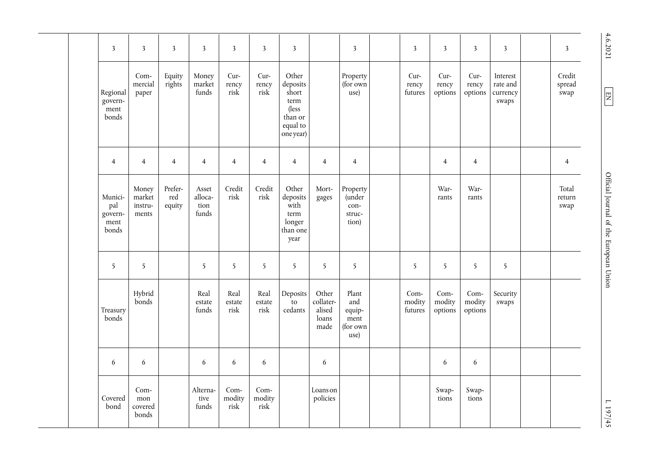|  |                                      | $\overline{\mathbf{3}}$                    | $\overline{\mathbf{3}}$             | $\overline{3}$           | $\overline{\mathbf{3}}$           | $\overline{\mathbf{3}}$ | $\overline{\mathbf{3}}$                                                         | $\overline{\mathbf{3}}$                                         |                                                    | $\overline{\mathbf{3}}$                       | $\overline{\mathbf{3}}$   | $\overline{\mathbf{3}}$     | $\overline{\mathbf{3}}$                   | $\overline{\mathbf{3}}$  | 3                       |
|--|--------------------------------------|--------------------------------------------|-------------------------------------|--------------------------|-----------------------------------|-------------------------|---------------------------------------------------------------------------------|-----------------------------------------------------------------|----------------------------------------------------|-----------------------------------------------|---------------------------|-----------------------------|-------------------------------------------|--------------------------|-------------------------|
|  | Regional<br>govern-<br>ment<br>bonds | Com-<br>mercial<br>paper                   | Equity<br>rights                    | Money<br>market<br>funds | Cur-<br>rency<br>risk             | Cur-<br>rency<br>risk   | Other<br>deposits<br>short<br>term<br>(less<br>than or<br>equal to<br>one year) |                                                                 | Property<br>(for own<br>use)                       | Cur-<br>rency<br>futures                      | Cur-<br>rency<br>options  | Cur-<br>rency<br>options    | Interest<br>rate and<br>currency<br>swaps | Credit<br>spread<br>swap |                         |
|  |                                      | 4                                          | $\overline{4}$                      | $\overline{4}$           | $\overline{4}$                    | $\overline{4}$          | $\overline{4}$                                                                  | $\overline{4}$                                                  | $\overline{4}$                                     | $\overline{4}$                                |                           | $\overline{4}$              | $\overline{4}$                            |                          | $\overline{4}$          |
|  |                                      | Munici-<br>pal<br>govern-<br>ment<br>bonds | Money<br>market<br>instru-<br>ments | Prefer-<br>red<br>equity | Asset<br>alloca-<br>tion<br>funds | Credit<br>risk          | Credit<br>risk                                                                  | Other<br>deposits<br>with<br>term<br>longer<br>than one<br>year | Mort-<br>gages                                     | Property<br>(under<br>con-<br>struc-<br>tion) |                           | War-<br>rants               | War-<br>rants                             |                          | Total<br>return<br>swap |
|  |                                      | 5                                          | 5                                   |                          | 5                                 | 5                       | 5                                                                               | 5                                                               | 5                                                  | 5                                             | 5                         | 5                           | 5                                         | $\overline{5}$           |                         |
|  | Treasury<br>bonds                    | Hybrid<br>bonds                            |                                     | Real<br>estate<br>funds  | Real<br>$\it{estate}$<br>risk     | Real<br>estate<br>risk  | Deposits<br>to<br>cedants                                                       | Other<br>collater-<br>alised<br>loans<br>made                   | Plant<br>and<br>equip-<br>ment<br>(for own<br>use) | Com-<br>modity<br>futures                     | Com-<br>modity<br>options | $Com-$<br>modity<br>options | Security<br>swaps                         |                          |                         |
|  |                                      | 6                                          | $\boldsymbol{6}$                    |                          | 6                                 | 6                       | 6                                                                               |                                                                 | $\boldsymbol{6}$                                   |                                               |                           | 6                           | 6                                         |                          |                         |
|  |                                      | Covered<br>bond                            | Com-<br>mon<br>covered<br>bonds     |                          | Alterna-<br>tive<br>funds         | Com-<br>modity<br>risk  | Com-<br>modity<br>risk                                                          |                                                                 | Loans on<br>policies                               |                                               |                           | Swap-<br>tions              | Swap-<br>tions                            |                          |                         |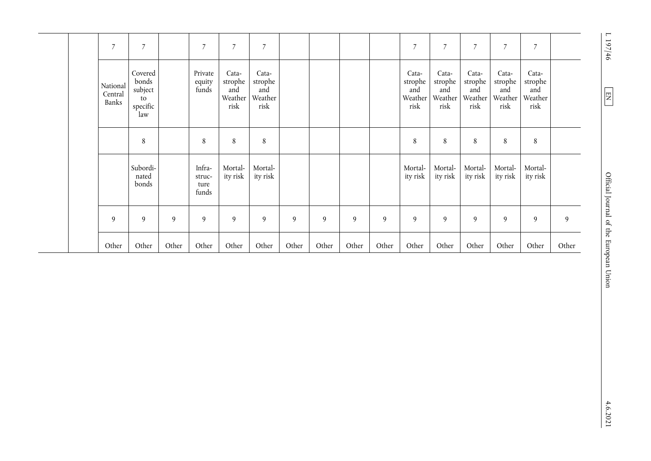|  | $\overline{7}$               | $\overline{7}$                                       |       | $\overline{7}$                    | $\overline{7}$                             | $\overline{7}$                             |       |       |       |       | $\overline{7}$                             | $\overline{7}$                             | $\overline{7}$                             | $\overline{7}$                             | 7                                          |       |
|--|------------------------------|------------------------------------------------------|-------|-----------------------------------|--------------------------------------------|--------------------------------------------|-------|-------|-------|-------|--------------------------------------------|--------------------------------------------|--------------------------------------------|--------------------------------------------|--------------------------------------------|-------|
|  | National<br>Central<br>Banks | Covered<br>bonds<br>subject<br>to<br>specific<br>law |       | Private<br>equity<br>funds        | Cata-<br>strophe<br>and<br>Weather<br>risk | Cata-<br>strophe<br>and<br>Weather<br>risk |       |       |       |       | Cata-<br>strophe<br>and<br>Weather<br>risk | Cata-<br>strophe<br>and<br>Weather<br>risk | Cata-<br>strophe<br>and<br>Weather<br>risk | Cata-<br>strophe<br>and<br>Weather<br>risk | Cata-<br>strophe<br>and<br>Weather<br>risk |       |
|  |                              | 8                                                    |       | 8                                 | 8                                          | 8                                          |       |       |       |       | 8                                          | 8                                          | 8                                          | 8                                          | 8                                          |       |
|  |                              | Subordi-<br>nated<br>bonds                           |       | Infra-<br>struc-<br>ture<br>funds | Mortal-<br>ity risk                        | Mortal-<br>ity risk                        |       |       |       |       | Mortal-<br>ity risk                        | Mortal-<br>ity risk                        | Mortal-<br>ity risk                        | Mortal-<br>ity risk                        | Mortal-<br>ity risk                        |       |
|  | 9                            | 9                                                    | 9     | 9                                 | 9                                          | 9                                          | 9     | 9     | 9     | 9     | 9                                          | 9                                          | 9                                          | 9                                          | 9                                          | 9     |
|  | Other                        | Other                                                | Other | Other                             | Other                                      | Other                                      | Other | Other | Other | Other | Other                                      | Other                                      | Other                                      | Other                                      | Other                                      | Other |

 $\overline{\phantom{a}}$ 

 $1197/46$ 

 $4.6.2021$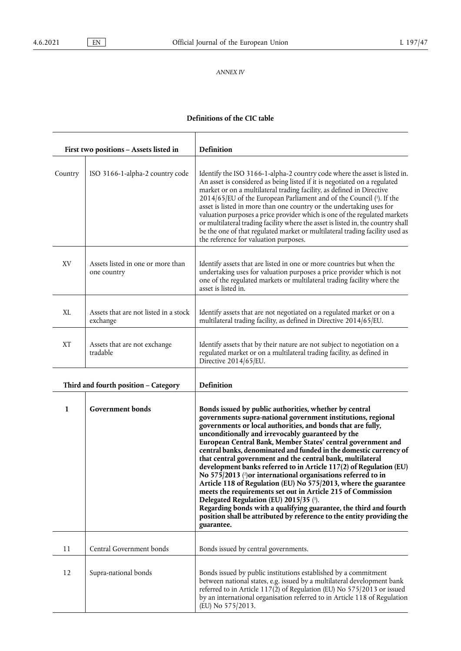# *ANNEX IV*

# <span id="page-40-2"></span><span id="page-40-1"></span><span id="page-40-0"></span>**Definitions of the CIC table**

|           | First two positions - Assets listed in            | Definition                                                                                                                                                                                                                                                                                                                                                                                                                                                                                                                                                                                                                                                                                                                                                                                                                                                                                                                   |  |  |  |  |  |
|-----------|---------------------------------------------------|------------------------------------------------------------------------------------------------------------------------------------------------------------------------------------------------------------------------------------------------------------------------------------------------------------------------------------------------------------------------------------------------------------------------------------------------------------------------------------------------------------------------------------------------------------------------------------------------------------------------------------------------------------------------------------------------------------------------------------------------------------------------------------------------------------------------------------------------------------------------------------------------------------------------------|--|--|--|--|--|
| Country   | ISO 3166-1-alpha-2 country code                   | Identify the ISO 3166-1-alpha-2 country code where the asset is listed in.<br>An asset is considered as being listed if it is negotiated on a regulated<br>market or on a multilateral trading facility, as defined in Directive<br>2014/65/EU of the European Parliament and of the Council (1). If the<br>asset is listed in more than one country or the undertaking uses for<br>valuation purposes a price provider which is one of the regulated markets<br>or multilateral trading facility where the asset is listed in, the country shall<br>be the one of that regulated market or multilateral trading facility used as<br>the reference for valuation purposes.                                                                                                                                                                                                                                                   |  |  |  |  |  |
| XV        | Assets listed in one or more than<br>one country  | Identify assets that are listed in one or more countries but when the<br>undertaking uses for valuation purposes a price provider which is not<br>one of the regulated markets or multilateral trading facility where the<br>asset is listed in.                                                                                                                                                                                                                                                                                                                                                                                                                                                                                                                                                                                                                                                                             |  |  |  |  |  |
| XL        | Assets that are not listed in a stock<br>exchange | Identify assets that are not negotiated on a regulated market or on a<br>multilateral trading facility, as defined in Directive 2014/65/EU.                                                                                                                                                                                                                                                                                                                                                                                                                                                                                                                                                                                                                                                                                                                                                                                  |  |  |  |  |  |
| <b>XT</b> | Assets that are not exchange<br>tradable          | Identify assets that by their nature are not subject to negotiation on a<br>regulated market or on a multilateral trading facility, as defined in<br>Directive 2014/65/EU.                                                                                                                                                                                                                                                                                                                                                                                                                                                                                                                                                                                                                                                                                                                                                   |  |  |  |  |  |
|           | Third and fourth position - Category              | Definition                                                                                                                                                                                                                                                                                                                                                                                                                                                                                                                                                                                                                                                                                                                                                                                                                                                                                                                   |  |  |  |  |  |
| 1         | Government bonds                                  | Bonds issued by public authorities, whether by central<br>governments supra-national government institutions, regional<br>governments or local authorities, and bonds that are fully,<br>unconditionally and irrevocably guaranteed by the<br>European Central Bank, Member States' central government and<br>central banks, denominated and funded in the domestic currency of<br>that central government and the central bank, multilateral<br>development banks referred to in Article 117(2) of Regulation (EU)<br>No 575/2013 (?) or international organisations referred to in<br>Article 118 of Regulation (EU) No 575/2013, where the guarantee<br>meets the requirements set out in Article 215 of Commission<br>Delegated Regulation (EU) 2015/35 (3).<br>Regarding bonds with a qualifying guarantee, the third and fourth<br>position shall be attributed by reference to the entity providing the<br>guarantee. |  |  |  |  |  |
| 11        | Central Government bonds                          | Bonds issued by central governments.                                                                                                                                                                                                                                                                                                                                                                                                                                                                                                                                                                                                                                                                                                                                                                                                                                                                                         |  |  |  |  |  |
| 12        | Supra-national bonds                              | Bonds issued by public institutions established by a commitment<br>between national states, e.g. issued by a multilateral development bank<br>referred to in Article 117(2) of Regulation (EU) No 575/2013 or issued<br>by an international organisation referred to in Article 118 of Regulation<br>(EU) No 575/2013.                                                                                                                                                                                                                                                                                                                                                                                                                                                                                                                                                                                                       |  |  |  |  |  |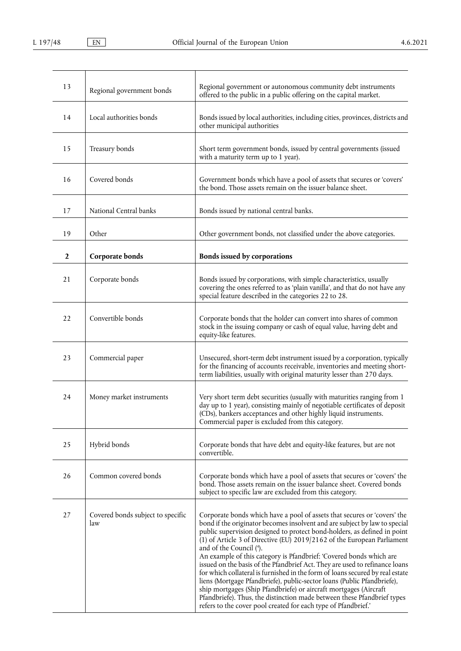<span id="page-41-0"></span>

| 13           | Regional government bonds                | Regional government or autonomous community debt instruments<br>offered to the public in a public offering on the capital market.                                                                                                                                                                                                                                                                                                                                                                                                                                                                                                                                                                                                                                                                                                                                            |
|--------------|------------------------------------------|------------------------------------------------------------------------------------------------------------------------------------------------------------------------------------------------------------------------------------------------------------------------------------------------------------------------------------------------------------------------------------------------------------------------------------------------------------------------------------------------------------------------------------------------------------------------------------------------------------------------------------------------------------------------------------------------------------------------------------------------------------------------------------------------------------------------------------------------------------------------------|
| 14           | Local authorities bonds                  | Bonds issued by local authorities, including cities, provinces, districts and<br>other municipal authorities                                                                                                                                                                                                                                                                                                                                                                                                                                                                                                                                                                                                                                                                                                                                                                 |
| 15           | Treasury bonds                           | Short term government bonds, issued by central governments (issued<br>with a maturity term up to 1 year).                                                                                                                                                                                                                                                                                                                                                                                                                                                                                                                                                                                                                                                                                                                                                                    |
| 16           | Covered bonds                            | Government bonds which have a pool of assets that secures or 'covers'<br>the bond. Those assets remain on the issuer balance sheet.                                                                                                                                                                                                                                                                                                                                                                                                                                                                                                                                                                                                                                                                                                                                          |
| 17           | National Central banks                   | Bonds issued by national central banks.                                                                                                                                                                                                                                                                                                                                                                                                                                                                                                                                                                                                                                                                                                                                                                                                                                      |
| 19           | Other                                    | Other government bonds, not classified under the above categories.                                                                                                                                                                                                                                                                                                                                                                                                                                                                                                                                                                                                                                                                                                                                                                                                           |
| $\mathbf{2}$ | Corporate bonds                          | Bonds issued by corporations                                                                                                                                                                                                                                                                                                                                                                                                                                                                                                                                                                                                                                                                                                                                                                                                                                                 |
| 21           | Corporate bonds                          | Bonds issued by corporations, with simple characteristics, usually<br>covering the ones referred to as 'plain vanilla', and that do not have any<br>special feature described in the categories 22 to 28.                                                                                                                                                                                                                                                                                                                                                                                                                                                                                                                                                                                                                                                                    |
| 22           | Convertible bonds                        | Corporate bonds that the holder can convert into shares of common<br>stock in the issuing company or cash of equal value, having debt and<br>equity-like features.                                                                                                                                                                                                                                                                                                                                                                                                                                                                                                                                                                                                                                                                                                           |
| 23           | Commercial paper                         | Unsecured, short-term debt instrument issued by a corporation, typically<br>for the financing of accounts receivable, inventories and meeting short-<br>term liabilities, usually with original maturity lesser than 270 days.                                                                                                                                                                                                                                                                                                                                                                                                                                                                                                                                                                                                                                               |
| 24           | Money market instruments                 | Very short term debt securities (usually with maturities ranging from 1<br>day up to 1 year), consisting mainly of negotiable certificates of deposit<br>(CDs), bankers acceptances and other highly liquid instruments.<br>Commercial paper is excluded from this category.                                                                                                                                                                                                                                                                                                                                                                                                                                                                                                                                                                                                 |
| 25           | Hybrid bonds                             | Corporate bonds that have debt and equity-like features, but are not<br>convertible.                                                                                                                                                                                                                                                                                                                                                                                                                                                                                                                                                                                                                                                                                                                                                                                         |
| 26           | Common covered bonds                     | Corporate bonds which have a pool of assets that secures or 'covers' the<br>bond. Those assets remain on the issuer balance sheet. Covered bonds<br>subject to specific law are excluded from this category.                                                                                                                                                                                                                                                                                                                                                                                                                                                                                                                                                                                                                                                                 |
| 27           | Covered bonds subject to specific<br>law | Corporate bonds which have a pool of assets that secures or 'covers' the<br>bond if the originator becomes insolvent and are subject by law to special<br>public supervision designed to protect bond-holders, as defined in point<br>(1) of Article 3 of Directive (EU) 2019/2162 of the European Parliament<br>and of the Council (4).<br>An example of this category is Pfandbrief: 'Covered bonds which are<br>issued on the basis of the Pfandbrief Act. They are used to refinance loans<br>for which collateral is furnished in the form of loans secured by real estate<br>liens (Mortgage Pfandbriefe), public-sector loans (Public Pfandbriefe),<br>ship mortgages (Ship Pfandbriefe) or aircraft mortgages (Aircraft<br>Pfandbriefe). Thus, the distinction made between these Pfandbrief types<br>refers to the cover pool created for each type of Pfandbrief.' |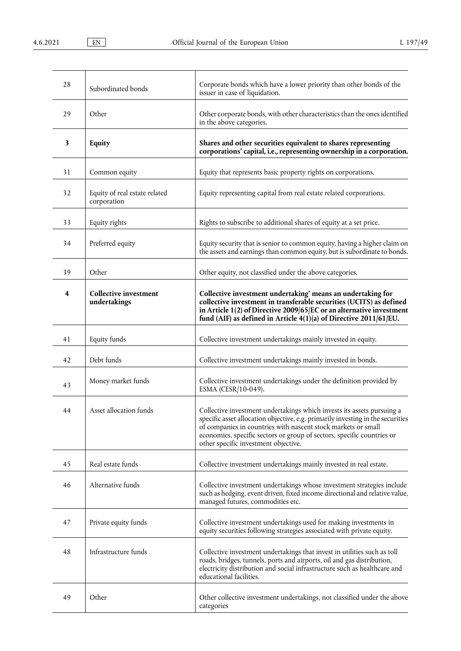| 28 | Subordinated bonds                           | Corporate bonds which have a lower priority than other bonds of the<br>issuer in case of liquidation.                                                                                                                                                                                                                                        |
|----|----------------------------------------------|----------------------------------------------------------------------------------------------------------------------------------------------------------------------------------------------------------------------------------------------------------------------------------------------------------------------------------------------|
| 29 | Other                                        | Other corporate bonds, with other characteristics than the ones identified<br>in the above categories.                                                                                                                                                                                                                                       |
| 3  | Equity                                       | Shares and other securities equivalent to shares representing<br>corporations' capital, i.e., representing ownership in a corporation.                                                                                                                                                                                                       |
| 31 | Common equity                                | Equity that represents basic property rights on corporations.                                                                                                                                                                                                                                                                                |
| 32 | Equity of real estate related<br>corporation | Equity representing capital from real estate related corporations.                                                                                                                                                                                                                                                                           |
| 33 | Equity rights                                | Rights to subscribe to additional shares of equity at a set price.                                                                                                                                                                                                                                                                           |
| 34 | Preferred equity                             | Equity security that is senior to common equity, having a higher claim on<br>the assets and earnings than common equity, but is subordinate to bonds.                                                                                                                                                                                        |
| 39 | Other                                        | Other equity, not classified under the above categories.                                                                                                                                                                                                                                                                                     |
| 4  | <b>Collective investment</b><br>undertakings | Collective investment undertaking' means an undertaking for<br>collective investment in transferable securities (UCITS) as defined<br>in Article 1(2) of Directive 2009/65/EC or an alternative investment<br>fund (AIF) as defined in Article 4(1)(a) of Directive 2011/61/EU.                                                              |
| 41 | Equity funds                                 | Collective investment undertakings mainly invested in equity.                                                                                                                                                                                                                                                                                |
| 42 | Debt funds                                   | Collective investment undertakings mainly invested in bonds.                                                                                                                                                                                                                                                                                 |
| 43 | Money market funds                           | Collective investment undertakings under the definition provided by<br>ESMA (CESR/10-049).                                                                                                                                                                                                                                                   |
| 44 | Asset allocation funds                       | Collective investment undertakings which invests its assets pursuing a<br>specific asset allocation objective, e.g. primarily investing in the securities<br>of companies in countries with nascent stock markets or small<br>economies, specific sectors or group of sectors, specific countries or<br>other specific investment objective. |
| 45 | Real estate funds                            | Collective investment undertakings mainly invested in real estate.                                                                                                                                                                                                                                                                           |
| 46 | Alternative funds                            | Collective investment undertakings whose investment strategies include<br>such as hedging, event driven, fixed income directional and relative value,<br>managed futures, commodities etc.                                                                                                                                                   |
| 47 | Private equity funds                         | Collective investment undertakings used for making investments in<br>equity securities following strategies associated with private equity.                                                                                                                                                                                                  |
| 48 | Infrastructure funds                         | Collective investment undertakings that invest in utilities such as toll<br>roads, bridges, tunnels, ports and airports, oil and gas distribution,<br>electricity distribution and social infrastructure such as healthcare and<br>educational facilities.                                                                                   |
| 49 | Other                                        | Other collective investment undertakings, not classified under the above<br>categories                                                                                                                                                                                                                                                       |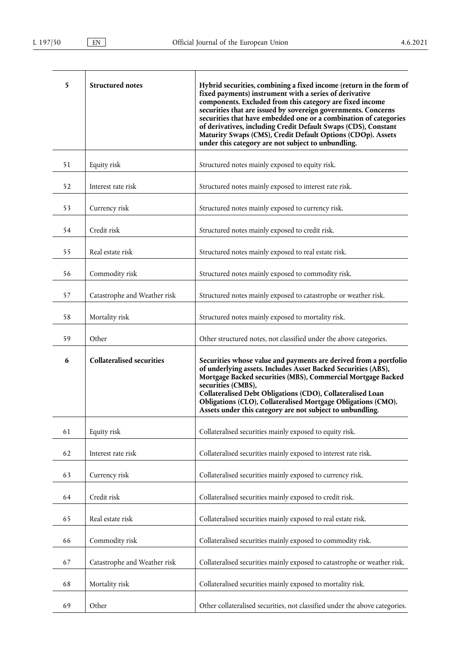| 5  | <b>Structured notes</b>          | Hybrid securities, combining a fixed income (return in the form of<br>fixed payments) instrument with a series of derivative<br>components. Excluded from this category are fixed income<br>securities that are issued by sovereign governments. Concerns<br>securities that have embedded one or a combination of categories<br>of derivatives, including Credit Default Swaps (CDS), Constant<br>Maturity Swaps (CMS), Credit Default Options (CDOp). Assets<br>under this category are not subject to unbundling. |
|----|----------------------------------|----------------------------------------------------------------------------------------------------------------------------------------------------------------------------------------------------------------------------------------------------------------------------------------------------------------------------------------------------------------------------------------------------------------------------------------------------------------------------------------------------------------------|
| 51 | Equity risk                      | Structured notes mainly exposed to equity risk.                                                                                                                                                                                                                                                                                                                                                                                                                                                                      |
| 52 | Interest rate risk               | Structured notes mainly exposed to interest rate risk.                                                                                                                                                                                                                                                                                                                                                                                                                                                               |
| 53 | Currency risk                    | Structured notes mainly exposed to currency risk.                                                                                                                                                                                                                                                                                                                                                                                                                                                                    |
| 54 | Credit risk                      | Structured notes mainly exposed to credit risk.                                                                                                                                                                                                                                                                                                                                                                                                                                                                      |
| 55 | Real estate risk                 | Structured notes mainly exposed to real estate risk.                                                                                                                                                                                                                                                                                                                                                                                                                                                                 |
| 56 | Commodity risk                   | Structured notes mainly exposed to commodity risk.                                                                                                                                                                                                                                                                                                                                                                                                                                                                   |
| 57 | Catastrophe and Weather risk     | Structured notes mainly exposed to catastrophe or weather risk.                                                                                                                                                                                                                                                                                                                                                                                                                                                      |
| 58 | Mortality risk                   | Structured notes mainly exposed to mortality risk.                                                                                                                                                                                                                                                                                                                                                                                                                                                                   |
| 59 | Other                            | Other structured notes, not classified under the above categories.                                                                                                                                                                                                                                                                                                                                                                                                                                                   |
| 6  | <b>Collateralised securities</b> | Securities whose value and payments are derived from a portfolio<br>of underlying assets. Includes Asset Backed Securities (ABS),<br>Mortgage Backed securities (MBS), Commercial Mortgage Backed<br>securities (CMBS),<br>Collateralised Debt Obligations (CDO), Collateralised Loan<br>Obligations (CLO), Collateralised Mortgage Obligations (CMO).<br>Assets under this category are not subject to unbundling.                                                                                                  |
| 61 | Equity risk                      | Collateralised securities mainly exposed to equity risk.                                                                                                                                                                                                                                                                                                                                                                                                                                                             |
| 62 | Interest rate risk               | Collateralised securities mainly exposed to interest rate risk.                                                                                                                                                                                                                                                                                                                                                                                                                                                      |
| 63 | Currency risk                    | Collateralised securities mainly exposed to currency risk.                                                                                                                                                                                                                                                                                                                                                                                                                                                           |
| 64 | Credit risk                      | Collateralised securities mainly exposed to credit risk.                                                                                                                                                                                                                                                                                                                                                                                                                                                             |
| 65 | Real estate risk                 | Collateralised securities mainly exposed to real estate risk.                                                                                                                                                                                                                                                                                                                                                                                                                                                        |
| 66 | Commodity risk                   | Collateralised securities mainly exposed to commodity risk.                                                                                                                                                                                                                                                                                                                                                                                                                                                          |
| 67 | Catastrophe and Weather risk     | Collateralised securities mainly exposed to catastrophe or weather risk.                                                                                                                                                                                                                                                                                                                                                                                                                                             |
| 68 | Mortality risk                   | Collateralised securities mainly exposed to mortality risk.                                                                                                                                                                                                                                                                                                                                                                                                                                                          |
| 69 | Other                            | Other collateralised securities, not classified under the above categories.                                                                                                                                                                                                                                                                                                                                                                                                                                          |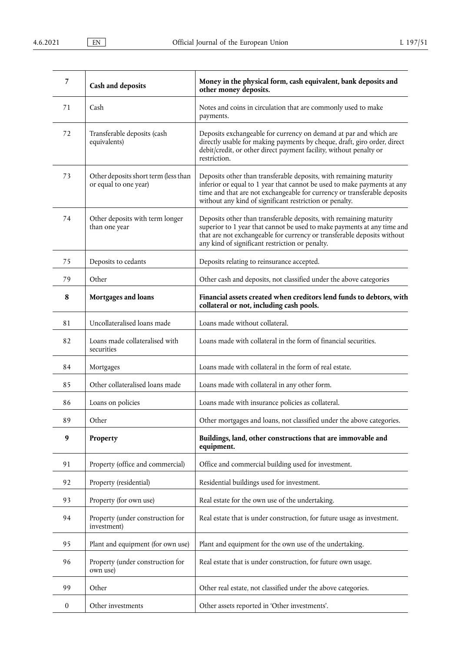| 7                | <b>Cash and deposits</b>                                      | Money in the physical form, cash equivalent, bank deposits and<br>other money deposits.                                                                                                                                                                                              |
|------------------|---------------------------------------------------------------|--------------------------------------------------------------------------------------------------------------------------------------------------------------------------------------------------------------------------------------------------------------------------------------|
| 71               | Cash                                                          | Notes and coins in circulation that are commonly used to make<br>payments.                                                                                                                                                                                                           |
| 72               | Transferable deposits (cash<br>equivalents)                   | Deposits exchangeable for currency on demand at par and which are<br>directly usable for making payments by cheque, draft, giro order, direct<br>debit/credit, or other direct payment facility, without penalty or<br>restriction.                                                  |
| 73               | Other deposits short term (less than<br>or equal to one year) | Deposits other than transferable deposits, with remaining maturity<br>inferior or equal to 1 year that cannot be used to make payments at any<br>time and that are not exchangeable for currency or transferable deposits<br>without any kind of significant restriction or penalty. |
| 74               | Other deposits with term longer<br>than one year              | Deposits other than transferable deposits, with remaining maturity<br>superior to 1 year that cannot be used to make payments at any time and<br>that are not exchangeable for currency or transferable deposits without<br>any kind of significant restriction or penalty.          |
| 75               | Deposits to cedants                                           | Deposits relating to reinsurance accepted.                                                                                                                                                                                                                                           |
| 79               | Other                                                         | Other cash and deposits, not classified under the above categories                                                                                                                                                                                                                   |
| 8                | Mortgages and loans                                           | Financial assets created when creditors lend funds to debtors, with<br>collateral or not, including cash pools.                                                                                                                                                                      |
| 81               | Uncollateralised loans made                                   | Loans made without collateral.                                                                                                                                                                                                                                                       |
| 82               | Loans made collateralised with<br>securities                  | Loans made with collateral in the form of financial securities.                                                                                                                                                                                                                      |
| 84               | Mortgages                                                     | Loans made with collateral in the form of real estate.                                                                                                                                                                                                                               |
| 85               | Other collateralised loans made                               | Loans made with collateral in any other form.                                                                                                                                                                                                                                        |
| 86               | Loans on policies                                             | Loans made with insurance policies as collateral.                                                                                                                                                                                                                                    |
| 89               | Other                                                         | Other mortgages and loans, not classified under the above categories.                                                                                                                                                                                                                |
| 9                | Property                                                      | Buildings, land, other constructions that are immovable and<br>equipment.                                                                                                                                                                                                            |
| 91               | Property (office and commercial)                              | Office and commercial building used for investment.                                                                                                                                                                                                                                  |
| 92               | Property (residential)                                        | Residential buildings used for investment.                                                                                                                                                                                                                                           |
| 93               | Property (for own use)                                        | Real estate for the own use of the undertaking.                                                                                                                                                                                                                                      |
| 94               | Property (under construction for<br>investment)               | Real estate that is under construction, for future usage as investment.                                                                                                                                                                                                              |
| 95               | Plant and equipment (for own use)                             | Plant and equipment for the own use of the undertaking.                                                                                                                                                                                                                              |
| 96               | Property (under construction for<br>own use)                  | Real estate that is under construction, for future own usage.                                                                                                                                                                                                                        |
| 99               | Other                                                         | Other real estate, not classified under the above categories.                                                                                                                                                                                                                        |
| $\boldsymbol{0}$ | Other investments                                             | Other assets reported in 'Other investments'.                                                                                                                                                                                                                                        |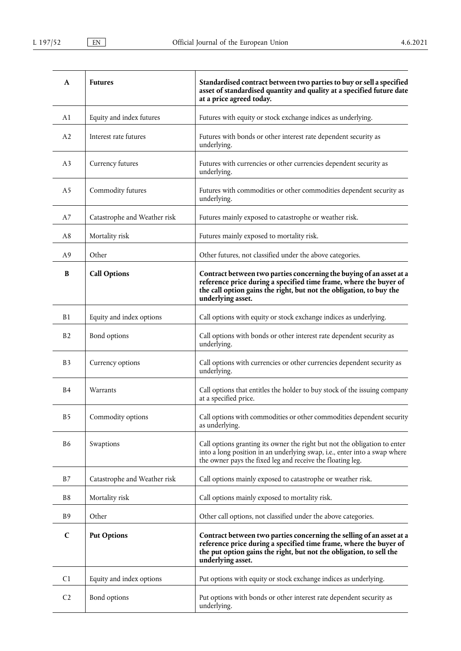| A              | <b>Futures</b>               | Standardised contract between two parties to buy or sell a specified<br>asset of standardised quantity and quality at a specified future date<br>at a price agreed today.                                                             |
|----------------|------------------------------|---------------------------------------------------------------------------------------------------------------------------------------------------------------------------------------------------------------------------------------|
| A <sub>1</sub> | Equity and index futures     | Futures with equity or stock exchange indices as underlying.                                                                                                                                                                          |
| A <sub>2</sub> | Interest rate futures        | Futures with bonds or other interest rate dependent security as<br>underlying.                                                                                                                                                        |
| A <sub>3</sub> | Currency futures             | Futures with currencies or other currencies dependent security as<br>underlying.                                                                                                                                                      |
| A <sub>5</sub> | Commodity futures            | Futures with commodities or other commodities dependent security as<br>underlying.                                                                                                                                                    |
| A7             | Catastrophe and Weather risk | Futures mainly exposed to catastrophe or weather risk.                                                                                                                                                                                |
| A8             | Mortality risk               | Futures mainly exposed to mortality risk.                                                                                                                                                                                             |
| A <sub>9</sub> | Other                        | Other futures, not classified under the above categories.                                                                                                                                                                             |
| B              | <b>Call Options</b>          | Contract between two parties concerning the buying of an asset at a<br>reference price during a specified time frame, where the buyer of<br>the call option gains the right, but not the obligation, to buy the<br>underlying asset.  |
| B1             | Equity and index options     | Call options with equity or stock exchange indices as underlying.                                                                                                                                                                     |
| B <sub>2</sub> | Bond options                 | Call options with bonds or other interest rate dependent security as<br>underlying.                                                                                                                                                   |
| B <sub>3</sub> | Currency options             | Call options with currencies or other currencies dependent security as<br>underlying.                                                                                                                                                 |
| B <sub>4</sub> | Warrants                     | Call options that entitles the holder to buy stock of the issuing company<br>at a specified price.                                                                                                                                    |
| B <sub>5</sub> | Commodity options            | Call options with commodities or other commodities dependent security<br>as underlying.                                                                                                                                               |
| B <sub>6</sub> | Swaptions                    | Call options granting its owner the right but not the obligation to enter<br>into a long position in an underlying swap, i.e., enter into a swap where<br>the owner pays the fixed leg and receive the floating leg.                  |
| B7             | Catastrophe and Weather risk | Call options mainly exposed to catastrophe or weather risk.                                                                                                                                                                           |
| B8             | Mortality risk               | Call options mainly exposed to mortality risk.                                                                                                                                                                                        |
| <b>B</b> 9     | Other                        | Other call options, not classified under the above categories.                                                                                                                                                                        |
| $\mathbf C$    | <b>Put Options</b>           | Contract between two parties concerning the selling of an asset at a<br>reference price during a specified time frame, where the buyer of<br>the put option gains the right, but not the obligation, to sell the<br>underlying asset. |
| C1             | Equity and index options     | Put options with equity or stock exchange indices as underlying.                                                                                                                                                                      |
| C <sub>2</sub> | Bond options                 | Put options with bonds or other interest rate dependent security as<br>underlying.                                                                                                                                                    |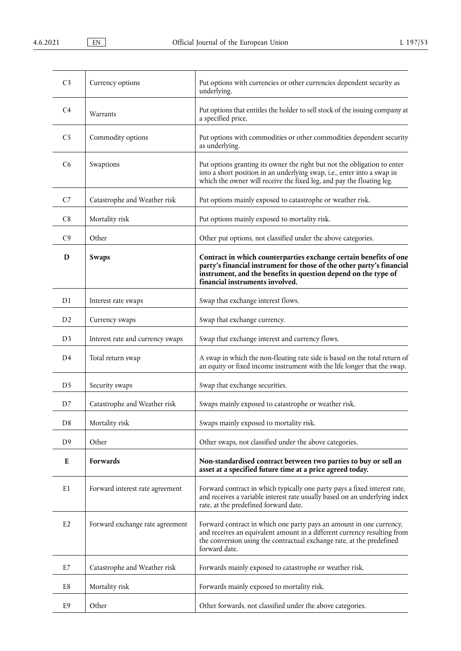| C <sub>3</sub> | Currency options                 | Put options with currencies or other currencies dependent security as<br>underlying.                                                                                                                                                            |
|----------------|----------------------------------|-------------------------------------------------------------------------------------------------------------------------------------------------------------------------------------------------------------------------------------------------|
| C <sub>4</sub> | Warrants                         | Put options that entitles the holder to sell stock of the issuing company at<br>a specified price.                                                                                                                                              |
| C <sub>5</sub> | Commodity options                | Put options with commodities or other commodities dependent security<br>as underlying.                                                                                                                                                          |
| C6             | Swaptions                        | Put options granting its owner the right but not the obligation to enter<br>into a short position in an underlying swap, i.e., enter into a swap in<br>which the owner will receive the fixed leg, and pay the floating leg.                    |
| C <sub>7</sub> | Catastrophe and Weather risk     | Put options mainly exposed to catastrophe or weather risk.                                                                                                                                                                                      |
| C8             | Mortality risk                   | Put options mainly exposed to mortality risk.                                                                                                                                                                                                   |
| C <sub>9</sub> | Other                            | Other put options, not classified under the above categories.                                                                                                                                                                                   |
| D              | <b>Swaps</b>                     | Contract in which counterparties exchange certain benefits of one<br>party's financial instrument for those of the other party's financial<br>instrument, and the benefits in question depend on the type of<br>financial instruments involved. |
| D1             | Interest rate swaps              | Swap that exchange interest flows.                                                                                                                                                                                                              |
| D <sub>2</sub> | Currency swaps                   | Swap that exchange currency.                                                                                                                                                                                                                    |
| D <sub>3</sub> | Interest rate and currency swaps | Swap that exchange interest and currency flows.                                                                                                                                                                                                 |
| D4             | Total return swap                | A swap in which the non-floating rate side is based on the total return of<br>an equity or fixed income instrument with the life longer that the swap.                                                                                          |
| D5             | Security swaps                   | Swap that exchange securities.                                                                                                                                                                                                                  |
| D7             | Catastrophe and Weather risk     | Swaps mainly exposed to catastrophe or weather risk.                                                                                                                                                                                            |
| D <sub>8</sub> | Mortality risk                   | Swaps mainly exposed to mortality risk.                                                                                                                                                                                                         |
| D <sub>9</sub> | Other                            | Other swaps, not classified under the above categories.                                                                                                                                                                                         |
| E              | <b>Forwards</b>                  | Non-standardised contract between two parties to buy or sell an<br>asset at a specified future time at a price agreed today.                                                                                                                    |
| E <sub>1</sub> | Forward interest rate agreement  | Forward contract in which typically one party pays a fixed interest rate,<br>and receives a variable interest rate usually based on an underlying index<br>rate, at the predefined forward date.                                                |
| E2             | Forward exchange rate agreement  | Forward contract in which one party pays an amount in one currency,<br>and receives an equivalent amount in a different currency resulting from<br>the conversion using the contractual exchange rate, at the predefined<br>forward date.       |
| E7             | Catastrophe and Weather risk     | Forwards mainly exposed to catastrophe or weather risk.                                                                                                                                                                                         |
| E8             | Mortality risk                   | Forwards mainly exposed to mortality risk.                                                                                                                                                                                                      |
| E9             | Other                            | Other forwards, not classified under the above categories.                                                                                                                                                                                      |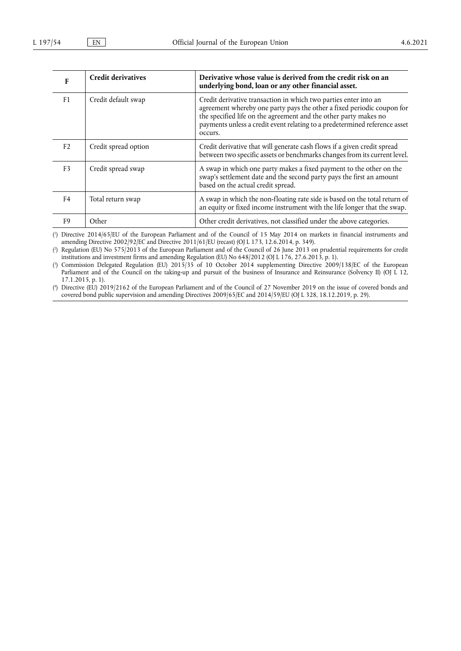| F              | <b>Credit derivatives</b> | Derivative whose value is derived from the credit risk on an<br>underlying bond, loan or any other financial asset.                                                                                                                                                                                     |
|----------------|---------------------------|---------------------------------------------------------------------------------------------------------------------------------------------------------------------------------------------------------------------------------------------------------------------------------------------------------|
| F <sub>1</sub> | Credit default swap       | Credit derivative transaction in which two parties enter into an<br>agreement whereby one party pays the other a fixed periodic coupon for<br>the specified life on the agreement and the other party makes no<br>payments unless a credit event relating to a predetermined reference asset<br>occurs. |
| F <sub>2</sub> | Credit spread option      | Credit derivative that will generate cash flows if a given credit spread<br>between two specific assets or benchmarks changes from its current level.                                                                                                                                                   |
| F3             | Credit spread swap        | A swap in which one party makes a fixed payment to the other on the<br>swap's settlement date and the second party pays the first an amount<br>based on the actual credit spread.                                                                                                                       |
| F <sub>4</sub> | Total return swap         | A swap in which the non-floating rate side is based on the total return of<br>an equity or fixed income instrument with the life longer that the swap.                                                                                                                                                  |
| F9             | Other                     | Other credit derivatives, not classified under the above categories.                                                                                                                                                                                                                                    |

<span id="page-47-0"></span>[\(](#page-40-0) 1 ) Directive 2014/65/EU of the European Parliament and of the Council of 15 May 2014 on markets in financial instruments and amending Directive 2002/92/EC and Directive 2011/61/EU (recast) (OJ L 173, 12.6.2014, p. 349).

<span id="page-47-1"></span>[\(](#page-40-1) 2 ) Regulation (EU) No 575/2013 of the European Parliament and of the Council of 26 June 2013 on prudential requirements for credit institutions and investment firms and amending Regulation (EU) No 648/2012 (OJ L 176, 27.6.2013, p. 1).

<span id="page-47-2"></span>[\(](#page-40-2) 3 ) Commission Delegated Regulation (EU) 2015/35 of 10 October 2014 supplementing Directive 2009/138/EC of the European Parliament and of the Council on the taking-up and pursuit of the business of Insurance and Reinsurance (Solvency II) (OJ L 12, 17.1.2015, p. 1).

<span id="page-47-3"></span>[\(](#page-41-0) 4 ) Directive (EU) 2019/2162 of the European Parliament and of the Council of 27 November 2019 on the issue of covered bonds and covered bond public supervision and amending Directives 2009/65/EC and 2014/59/EU (OJ L 328, 18.12.2019, p. 29).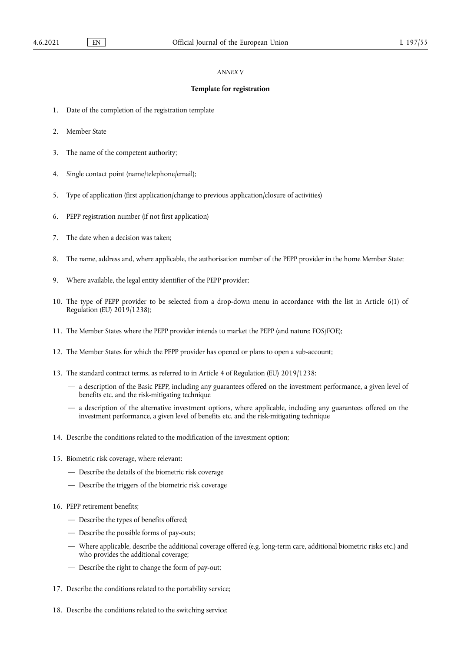# *ANNEX V*

# **Template for registration**

- 1. Date of the completion of the registration template
- 2. Member State
- 3. The name of the competent authority;
- 4. Single contact point (name/telephone/email);
- 5. Type of application (first application/change to previous application/closure of activities)
- 6. PEPP registration number (if not first application)
- 7. The date when a decision was taken;
- 8. The name, address and, where applicable, the authorisation number of the PEPP provider in the home Member State;
- 9. Where available, the legal entity identifier of the PEPP provider;
- 10. The type of PEPP provider to be selected from a drop-down menu in accordance with the list in Article 6(1) of Regulation (EU) 2019/1238);
- 11. The Member States where the PEPP provider intends to market the PEPP (and nature: FOS/FOE);
- 12. The Member States for which the PEPP provider has opened or plans to open a sub-account;
- 13. The standard contract terms, as referred to in Article 4 of Regulation (EU) 2019/1238:
	- a description of the Basic PEPP, including any guarantees offered on the investment performance, a given level of benefits etc. and the risk-mitigating technique
	- a description of the alternative investment options, where applicable, including any guarantees offered on the investment performance, a given level of benefits etc. and the risk-mitigating technique
- 14. Describe the conditions related to the modification of the investment option;
- 15. Biometric risk coverage, where relevant:
	- Describe the details of the biometric risk coverage
	- Describe the triggers of the biometric risk coverage
- 16. PEPP retirement benefits;
	- Describe the types of benefits offered;
	- Describe the possible forms of pay-outs;
	- Where applicable, describe the additional coverage offered (e.g. long-term care, additional biometric risks etc.) and who provides the additional coverage;
	- Describe the right to change the form of pay-out;
- 17. Describe the conditions related to the portability service;
- 18. Describe the conditions related to the switching service;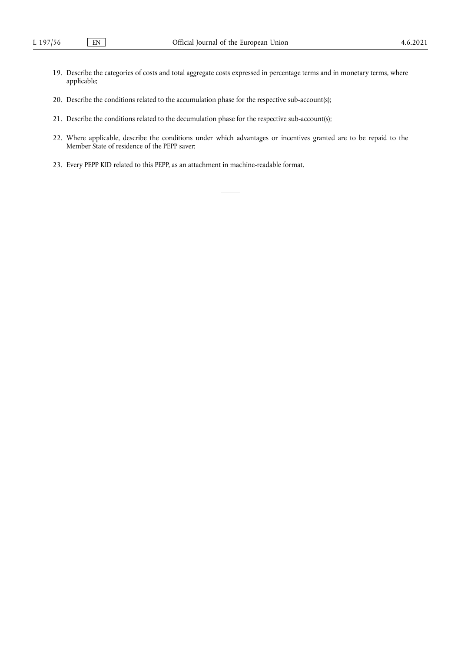- 19. Describe the categories of costs and total aggregate costs expressed in percentage terms and in monetary terms, where applicable;
- 20. Describe the conditions related to the accumulation phase for the respective sub-account(s);
- 21. Describe the conditions related to the decumulation phase for the respective sub-account(s);
- 22. Where applicable, describe the conditions under which advantages or incentives granted are to be repaid to the Member State of residence of the PEPP saver;
- 23. Every PEPP KID related to this PEPP, as an attachment in machine-readable format.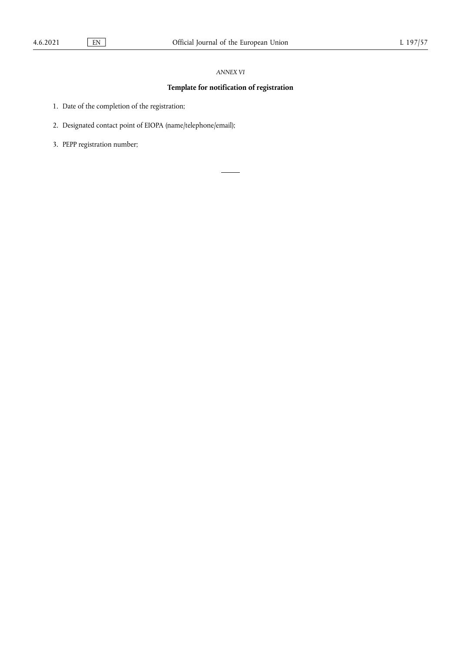# *ANNEX VI*

# **Template for notification of registration**

1. Date of the completion of the registration;

2. Designated contact point of EIOPA (name/telephone/email);

3. PEPP registration number;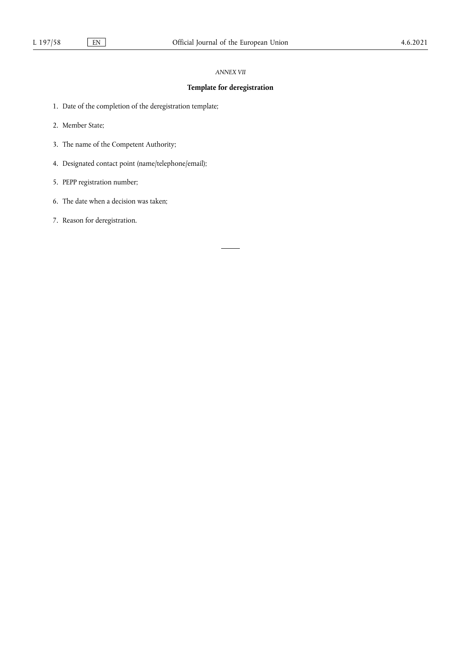# *ANNEX VII*

# **Template for deregistration**

- 1. Date of the completion of the deregistration template;
- 2. Member State;
- 3. The name of the Competent Authority;
- 4. Designated contact point (name/telephone/email);
- 5. PEPP registration number;
- 6. The date when a decision was taken;
- 7. Reason for deregistration.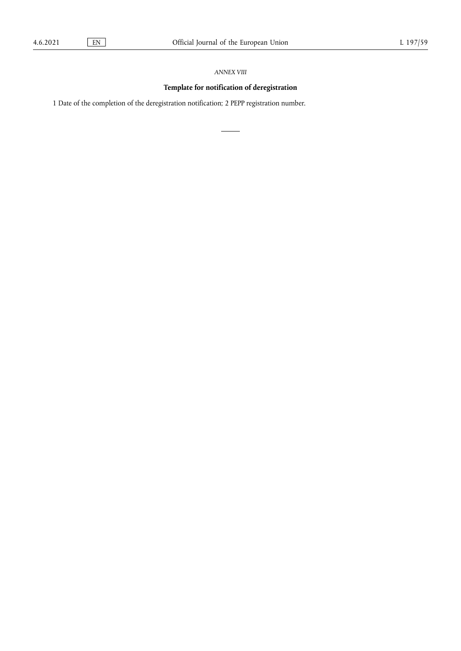# *ANNEX VIII*

# **Template for notification of deregistration**

1 Date of the completion of the deregistration notification; 2 PEPP registration number.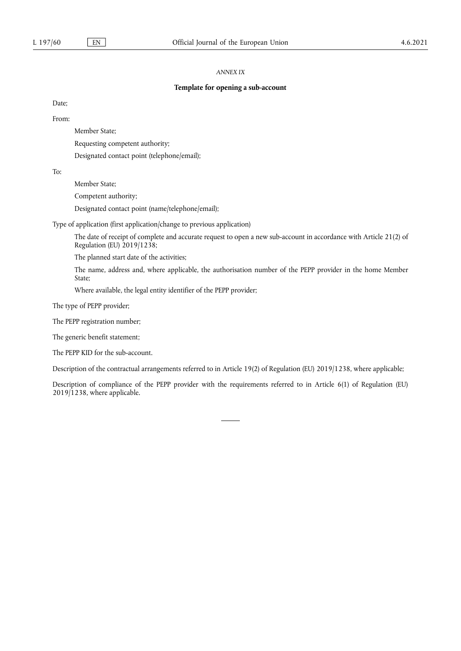# *ANNEX IX*

# **Template for opening a sub-account**

Date;

From:

Member State;

Requesting competent authority;

Designated contact point (telephone/email);

To:

Member State;

Competent authority;

Designated contact point (name/telephone/email);

Type of application (first application/change to previous application)

The date of receipt of complete and accurate request to open a new sub-account in accordance with Article 21(2) of Regulation (EU) 2019/1238;

The planned start date of the activities;

The name, address and, where applicable, the authorisation number of the PEPP provider in the home Member State;

Where available, the legal entity identifier of the PEPP provider;

The type of PEPP provider;

The PEPP registration number;

The generic benefit statement;

The PEPP KID for the sub-account.

Description of the contractual arrangements referred to in Article 19(2) of Regulation (EU) 2019/1238, where applicable;

Description of compliance of the PEPP provider with the requirements referred to in Article 6(1) of Regulation (EU) 2019/1238, where applicable.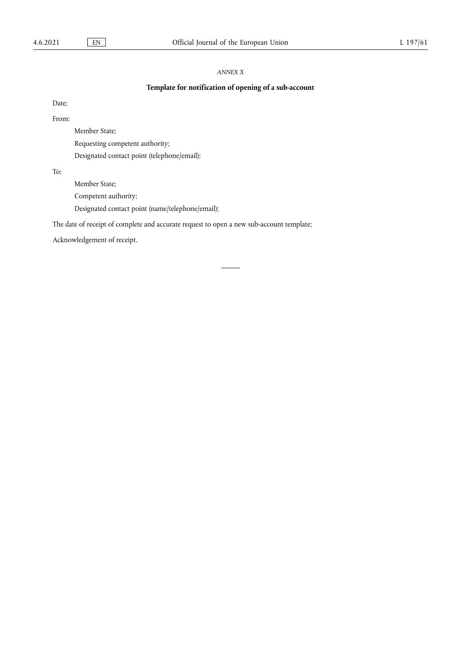# *ANNEX X*

# **Template for notification of opening of a sub-account**

Date;

From:

Member State;

Requesting competent authority;

Designated contact point (telephone/email);

To:

Member State;

Competent authority;

Designated contact point (name/telephone/email);

The date of receipt of complete and accurate request to open a new sub-account template;

Acknowledgement of receipt.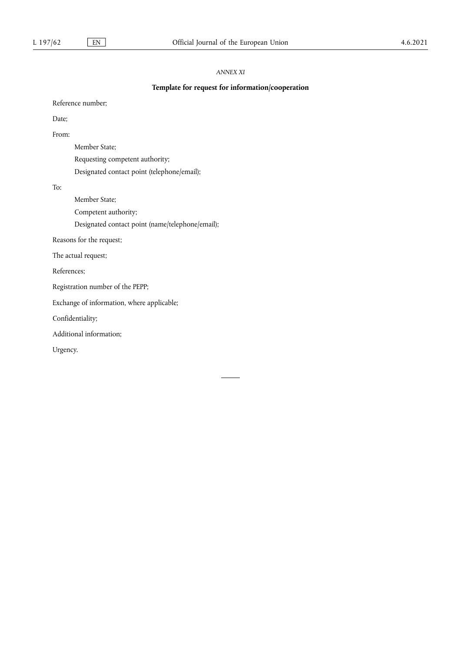# *ANNEX XI*

# **Template for request for information/cooperation**

Reference number;

Date;

From:

Member State; Requesting competent authority; Designated contact point (telephone/email);

To:

Member State; Competent authority;

Designated contact point (name/telephone/email);

Reasons for the request;

The actual request;

References;

Registration number of the PEPP;

Exchange of information, where applicable;

Confidentiality;

Additional information;

Urgency.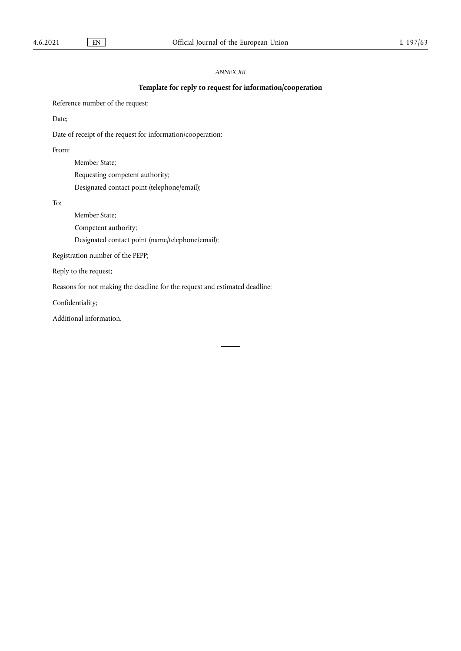# *ANNEX XII*

# **Template for reply to request for information/cooperation**

Reference number of the request;

Date;

Date of receipt of the request for information/cooperation;

From:

Member State; Requesting competent authority; Designated contact point (telephone/email);

To:

Member State;

Competent authority;

Designated contact point (name/telephone/email);

Registration number of the PEPP;

Reply to the request;

Reasons for not making the deadline for the request and estimated deadline;

Confidentiality;

Additional information.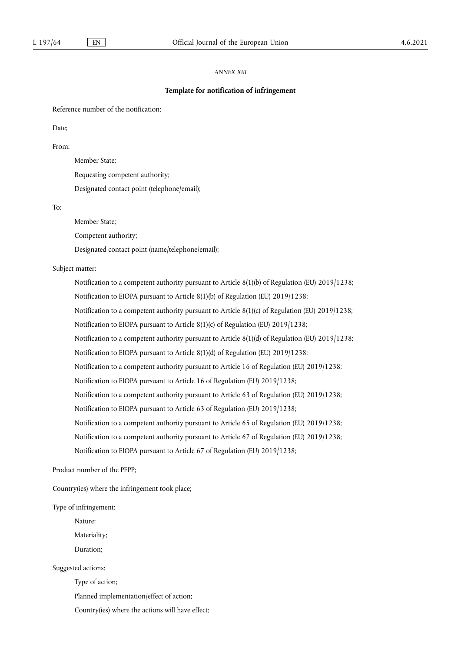# *ANNEX XIII*

### **Template for notification of infringement**

Reference number of the notification;

Date;

From:

Member State;

Requesting competent authority;

Designated contact point (telephone/email);

To:

Member State;

Competent authority;

Designated contact point (name/telephone/email);

Subject matter:

Notification to a competent authority pursuant to Article 8(1)(b) of Regulation (EU) 2019/1238; Notification to EIOPA pursuant to Article 8(1)(b) of Regulation (EU) 2019/1238; Notification to a competent authority pursuant to Article 8(1)(c) of Regulation (EU) 2019/1238; Notification to EIOPA pursuant to Article 8(1)(c) of Regulation (EU) 2019/1238; Notification to a competent authority pursuant to Article 8(1)(d) of Regulation (EU) 2019/1238; Notification to EIOPA pursuant to Article 8(1)(d) of Regulation (EU) 2019/1238; Notification to a competent authority pursuant to Article 16 of Regulation (EU) 2019/1238; Notification to EIOPA pursuant to Article 16 of Regulation (EU) 2019/1238; Notification to a competent authority pursuant to Article 63 of Regulation (EU) 2019/1238; Notification to EIOPA pursuant to Article 63 of Regulation (EU) 2019/1238; Notification to a competent authority pursuant to Article 65 of Regulation (EU) 2019/1238; Notification to a competent authority pursuant to Article 67 of Regulation (EU) 2019/1238; Notification to EIOPA pursuant to Article 67 of Regulation (EU) 2019/1238;

Product number of the PEPP;

Country(ies) where the infringement took place;

Type of infringement:

Nature;

Materiality;

Duration;

Suggested actions:

Type of action;

Planned implementation/effect of action;

Country(ies) where the actions will have effect;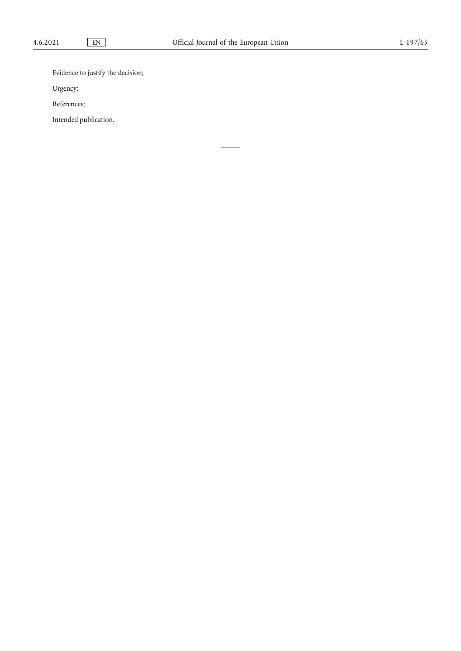Evidence to justify the decision;

Urgency;

References;

Intended publication.